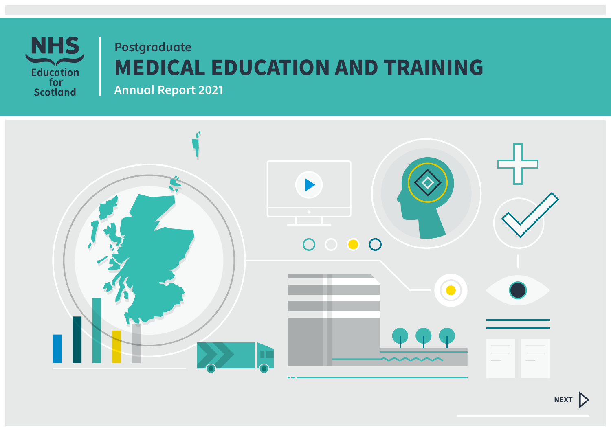

# **Postgraduate MEDICAL EDUCATION AND TRAINING**

**Annual Report 2021**

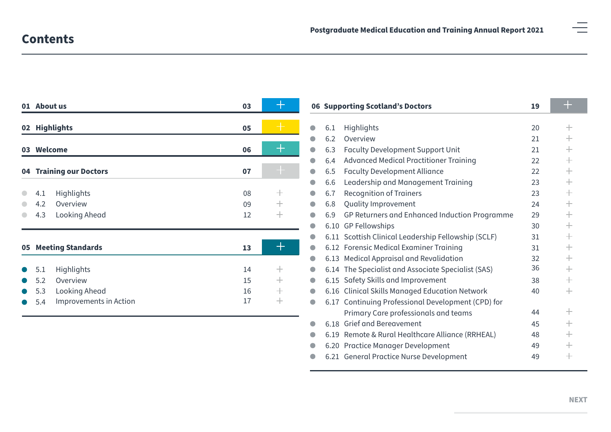|    | 01 About us<br>03             |    |        |           | 06 Supporting Scotland's Doctors |                                                     | 19 | -2                 |
|----|-------------------------------|----|--------|-----------|----------------------------------|-----------------------------------------------------|----|--------------------|
|    | 02 Highlights                 | 05 |        | $\bullet$ | 6.1                              | Highlights                                          | 20 | $^+$               |
|    |                               |    |        | a         | 6.2                              | Overview                                            | 21 | $\pm$              |
|    | 03 Welcome                    | 06 |        | $\bullet$ | 6.3                              | <b>Faculty Development Support Unit</b>             | 21 | $^{+}$             |
|    |                               |    |        | $\bullet$ | 6.4                              | <b>Advanced Medical Practitioner Training</b>       | 22 | $\hspace{0.1mm} +$ |
| 04 | <b>Training our Doctors</b>   | 07 |        |           | 6.5                              | <b>Faculty Development Alliance</b>                 | 22 | $\hspace{0.1mm} +$ |
|    |                               |    |        |           | 6.6                              | Leadership and Management Training                  | 23 | $^{+}$             |
|    | <b>Highlights</b><br>4.1      | 08 | $\pm$  | $\bullet$ | 6.7                              | <b>Recognition of Trainers</b>                      | 23 | $\hspace{0.1mm} +$ |
|    | 4.2<br>Overview               | 09 | $\pm$  | $\bullet$ | 6.8                              | Quality Improvement                                 | 24 | $\pm$              |
|    | Looking Ahead<br>4.3          | 12 | $\! +$ |           | 6.9                              | GP Returners and Enhanced Induction Programme       | 29 | $\!+\!$            |
|    |                               |    |        | a         |                                  | 6.10 GP Fellowships                                 | 30 | $\pm$              |
|    |                               |    |        |           |                                  | 6.11 Scottish Clinical Leadership Fellowship (SCLF) | 31 | $^{+}$             |
|    | 05 Meeting Standards          | 13 | ┿      |           |                                  | 6.12 Forensic Medical Examiner Training             | 31 | $\hspace{0.1mm} +$ |
|    |                               |    |        | $\bullet$ |                                  | 6.13 Medical Appraisal and Revalidation             | 32 | $^{+}$             |
|    | <b>Highlights</b><br>5.1      | 14 | $^{+}$ |           |                                  | 6.14 The Specialist and Associate Specialist (SAS)  | 36 | $^{+}$             |
|    | 5.2<br>Overview               | 15 | $\pm$  | $\bullet$ |                                  | 6.15 Safety Skills and Improvement                  | 38 | $\pm$              |
|    | Looking Ahead<br>5.3          | 16 | $\pm$  | $\bullet$ |                                  | 6.16 Clinical Skills Managed Education Network      | 40 | $^{+}$             |
|    | Improvements in Action<br>5.4 | 17 | $\pm$  | $\bullet$ | 6.17                             | Continuing Professional Development (CPD) for       |    |                    |
|    |                               |    |        |           |                                  | Primary Care professionals and teams                | 44 | $^+$               |
|    |                               |    |        |           |                                  | 6.18 Grief and Bereavement                          | 45 | $^{+}$             |
|    |                               |    |        |           |                                  | 6.19 Remote & Rural Healthcare Alliance (RRHEAL)    | 48 | $\hspace{0.1mm} +$ |
|    |                               |    |        |           |                                  | 6.20 Practice Manager Development                   | 49 | $^{+}$             |

6.21 [General Practice Nurse Development](#page-48-0) 49  $\! +$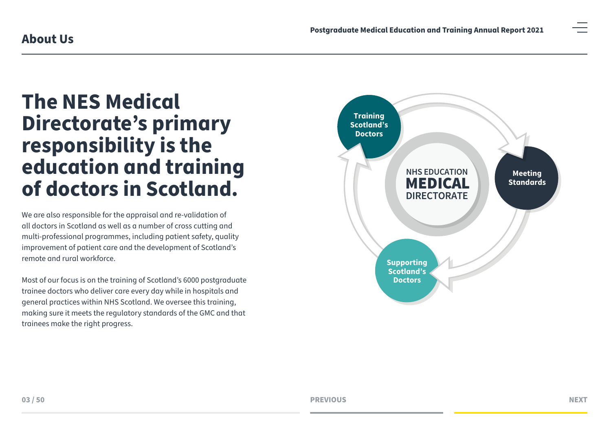# <span id="page-2-0"></span>01 **education and training The NES Medical Directorate's primary responsibility is the of doctors in Scotland.**

03 improvement of patient care and the development of Scotland's We are also responsible for the appraisal and re-validation of all doctors in Scotland as well as a number of cross cutting and multi-professional programmes, including patient safety, quality remote and rural workforce.

Most of our focus is on the training of Scotland's 6000 postgraduate trainee doctors who deliver care every day while in hospitals and general practices within NHS Scotland. We oversee this training, making sure it meets the regulatory standards of the GMC and that trainees make the right progress.

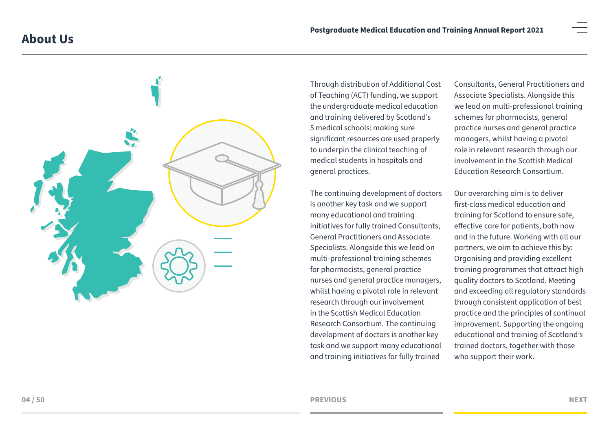

Through distribution of Additional Cost of Teaching (ACT) funding, we support the undergraduate medical education and training delivered by Scotland's 5 medical schools: making sure significant resources are used properly to underpin the clinical teaching of medical students in hospitals and general practices.

The continuing development of doctors is another key task and we support many educational and training initiatives for fully trained Consultants, General Practitioners and Associate Specialists. Alongside this we lead on multi-professional training schemes for pharmacists, general practice nurses and general practice managers, whilst having a pivotal role in relevant research through our involvement in the Scottish Medical Education Research Consortium. The continuing development of doctors is another key task and we support many educational and training initiatives for fully trained

Consultants, General Practitioners and Associate Specialists. Alongside this we lead on multi-professional training schemes for pharmacists, general practice nurses and general practice managers, whilst having a pivotal role in relevant research through our involvement in the Scottish Medical Education Research Consortium.

Our overarching aim is to deliver first-class medical education and training for Scotland to ensure safe, effective care for patients, both now and in the future. Working with all our partners, we aim to achieve this by: Organising and providing excellent training programmes that attract high quality doctors to Scotland. Meeting and exceeding all regulatory standards through consistent application of best practice and the principles of continual improvement. Supporting the ongoing educational and training of Scotland's trained doctors, together with those who support their work.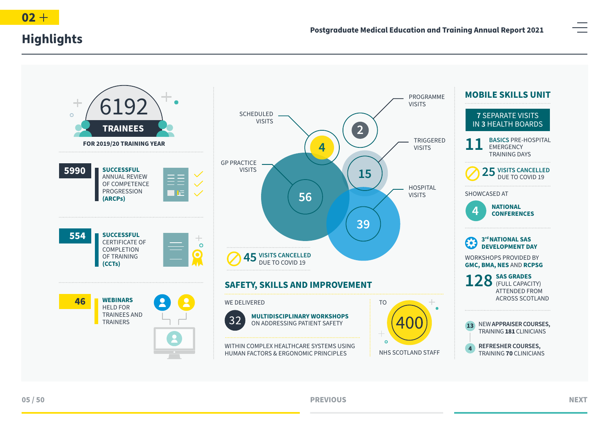<span id="page-4-0"></span>





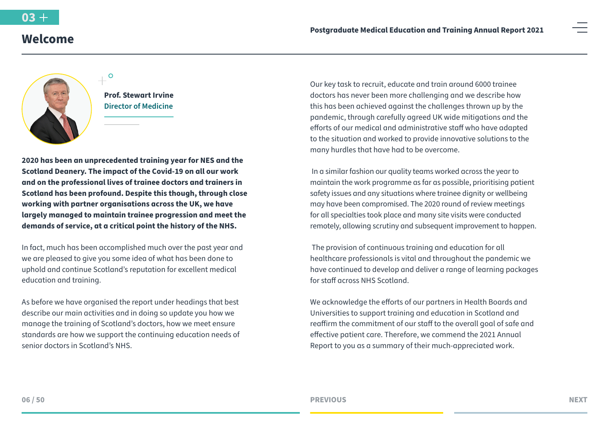# <span id="page-5-0"></span>**Welcome**



**Prof. Stewart Irvine Director of Medicine**

 $\circ$ 

**2020 has been an unprecedented training year for NES and the Scotland Deanery. The impact of the Covid-19 on all our work and on the professional lives of trainee doctors and trainers in Scotland has been profound. Despite this though, through close working with partner organisations across the UK, we have largely managed to maintain trainee progression and meet the demands of service, at a critical point the history of the NHS.** 

In fact, much has been accomplished much over the past year and we are pleased to give you some idea of what has been done to uphold and continue Scotland's reputation for excellent medical education and training.

As before we have organised the report under headings that best describe our main activities and in doing so update you how we manage the training of Scotland's doctors, how we meet ensure standards are how we support the continuing education needs of senior doctors in Scotland's NHS.

Our key task to recruit, educate and train around 6000 trainee doctors has never been more challenging and we describe how this has been achieved against the challenges thrown up by the pandemic, through carefully agreed UK wide mitigations and the efforts of our medical and administrative staff who have adapted to the situation and worked to provide innovative solutions to the many hurdles that have had to be overcome.

 In a similar fashion our quality teams worked across the year to maintain the work programme as far as possible, prioritising patient safety issues and any situations where trainee dignity or wellbeing may have been compromised. The 2020 round of review meetings for all specialties took place and many site visits were conducted remotely, allowing scrutiny and subsequent improvement to happen.

 The provision of continuous training and education for all healthcare professionals is vital and throughout the pandemic we have continued to develop and deliver a range of learning packages for staff across NHS Scotland.

We acknowledge the efforts of our partners in Health Boards and Universities to support training and education in Scotland and reaffirm the commitment of our staff to the overall goal of safe and effective patient care. Therefore, we commend the 2021 Annual Report to you as a summary of their much-appreciated work.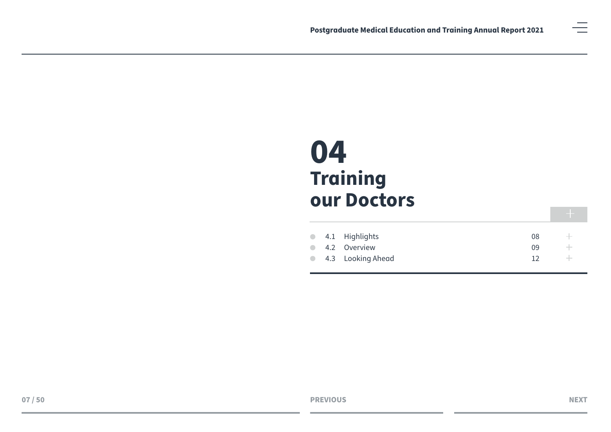<span id="page-6-0"></span>

|  | $\bullet$ 4.1 Highlights | 08              |       |
|--|--------------------------|-----------------|-------|
|  | • 4.2 Overview           | 09              |       |
|  | • 4.3 Looking Ahead      | 12 <sub>1</sub> | $\pm$ |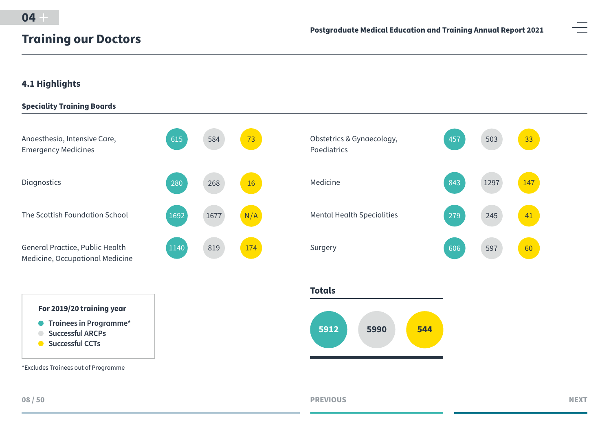# <span id="page-7-0"></span>**4.1 Highlights**







\*Excludes Trainees out of Programme

**Totals**



**PREVIOUS NEXT**

41

60

33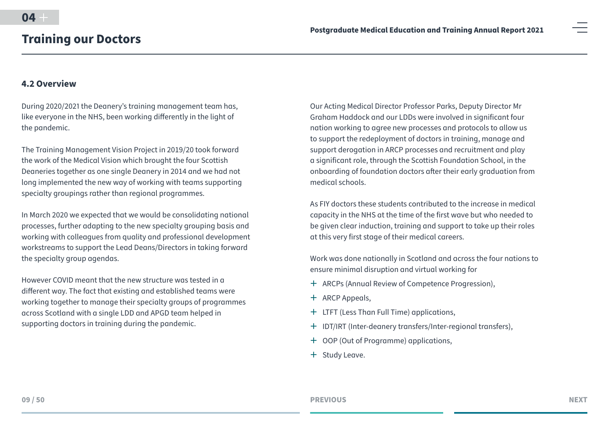### <span id="page-8-0"></span>**4.2 Overview**

During 2020/2021 the Deanery's training management team has, like everyone in the NHS, been working differently in the light of the pandemic.

The Training Management Vision Project in 2019/20 took forward the work of the Medical Vision which brought the four Scottish Deaneries together as one single Deanery in 2014 and we had not long implemented the new way of working with teams supporting specialty groupings rather than regional programmes.

In March 2020 we expected that we would be consolidating national processes, further adapting to the new specialty grouping basis and working with colleagues from quality and professional development workstreams to support the Lead Deans/Directors in taking forward the specialty group agendas.

However COVID meant that the new structure was tested in a different way. The fact that existing and established teams were working together to manage their specialty groups of programmes across Scotland with a single LDD and APGD team helped in supporting doctors in training during the pandemic.

Our Acting Medical Director Professor Parks, Deputy Director Mr Graham Haddock and our LDDs were involved in significant four nation working to agree new processes and protocols to allow us to support the redeployment of doctors in training, manage and support derogation in ARCP processes and recruitment and play a significant role, through the Scottish Foundation School, in the onboarding of foundation doctors after their early graduation from medical schools.

As FIY doctors these students contributed to the increase in medical capacity in the NHS at the time of the first wave but who needed to be given clear induction, training and support to take up their roles at this very first stage of their medical careers.

Work was done nationally in Scotland and across the four nations to ensure minimal disruption and virtual working for

- <sup>+</sup> ARCPs (Annual Review of Competence Progression),
- $+$  ARCP Appeals,
- $+$  LTFT (Less Than Full Time) applications,
- ª IDT/IRT (Inter-deanery transfers/Inter-regional transfers),
- $+$  OOP (Out of Programme) applications,
- + Study Leave.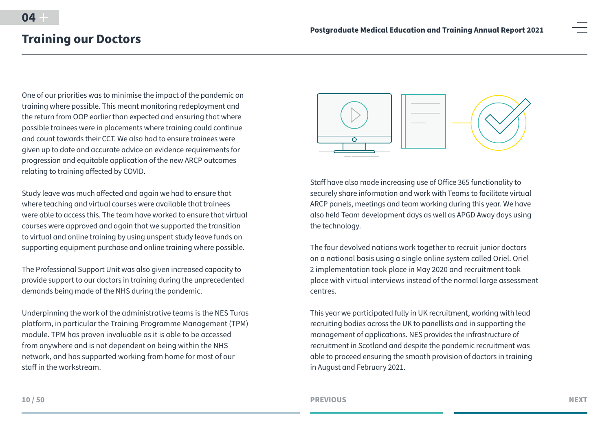One of our priorities was to minimise the impact of the pandemic on training where possible. This meant monitoring redeployment and the return from OOP earlier than expected and ensuring that where possible trainees were in placements where training could continue and count towards their CCT. We also had to ensure trainees were given up to date and accurate advice on evidence requirements for progression and equitable application of the new ARCP outcomes relating to training affected by COVID.

Study leave was much affected and again we had to ensure that where teaching and virtual courses were available that trainees were able to access this. The team have worked to ensure that virtual courses were approved and again that we supported the transition to virtual and online training by using unspent study leave funds on supporting equipment purchase and online training where possible.

The Professional Support Unit was also given increased capacity to provide support to our doctors in training during the unprecedented demands being made of the NHS during the pandemic.

Underpinning the work of the administrative teams is the NES Turas platform, in particular the Training Programme Management (TPM) module. TPM has proven invaluable as it is able to be accessed from anywhere and is not dependent on being within the NHS network, and has supported working from home for most of our staff in the workstream.



Staff have also made increasing use of Office 365 functionality to securely share information and work with Teams to facilitate virtual ARCP panels, meetings and team working during this year. We have also held Team development days as well as APGD Away days using the technology.

The four devolved nations work together to recruit junior doctors on a national basis using a single online system called Oriel. Oriel 2 implementation took place in May 2020 and recruitment took place with virtual interviews instead of the normal large assessment centres.

This year we participated fully in UK recruitment, working with lead recruiting bodies across the UK to panellists and in supporting the management of applications. NES provides the infrastructure of recruitment in Scotland and despite the pandemic recruitment was able to proceed ensuring the smooth provision of doctors in training in August and February 2021.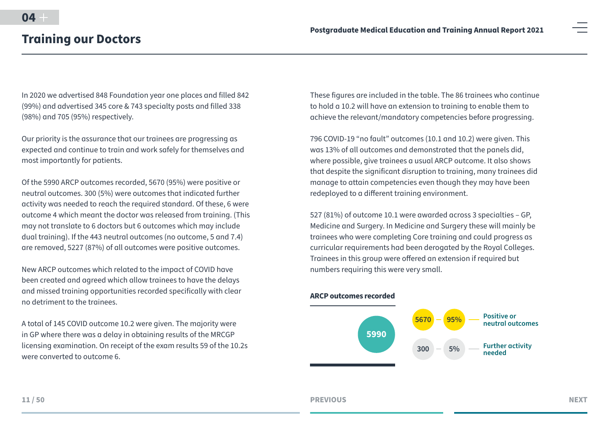In 2020 we advertised 848 Foundation year one places and filled 842 (99%) and advertised 345 core & 743 specialty posts and filled 338 (98%) and 705 (95%) respectively.

Our priority is the assurance that our trainees are progressing as expected and continue to train and work safely for themselves and most importantly for patients.

Of the 5990 ARCP outcomes recorded, 5670 (95%) were positive or neutral outcomes. 300 (5%) were outcomes that indicated further activity was needed to reach the required standard. Of these, 6 were outcome 4 which meant the doctor was released from training. (This may not translate to 6 doctors but 6 outcomes which may include dual training). If the 443 neutral outcomes (no outcome, 5 and 7.4) are removed, 5227 (87%) of all outcomes were positive outcomes.

New ARCP outcomes which related to the impact of COVID have been created and agreed which allow trainees to have the delays and missed training opportunities recorded specifically with clear no detriment to the trainees.

A total of 145 COVID outcome 10.2 were given. The majority were in GP where there was a delay in obtaining results of the MRCGP licensing examination. On receipt of the exam results 59 of the 10.2s were converted to outcome 6.

These figures are included in the table. The 86 trainees who continue to hold a 10.2 will have an extension to training to enable them to achieve the relevant/mandatory competencies before progressing.

796 COVID-19 "no fault" outcomes (10.1 and 10.2) were given. This was 13% of all outcomes and demonstrated that the panels did, where possible, give trainees a usual ARCP outcome. It also shows that despite the significant disruption to training, many trainees did manage to attain competencies even though they may have been redeployed to a different training environment.

527 (81%) of outcome 10.1 were awarded across 3 specialties – GP, Medicine and Surgery. In Medicine and Surgery these will mainly be trainees who were completing Core training and could progress as curricular requirements had been derogated by the Royal Colleges. Trainees in this group were offered an extension if required but numbers requiring this were very small.



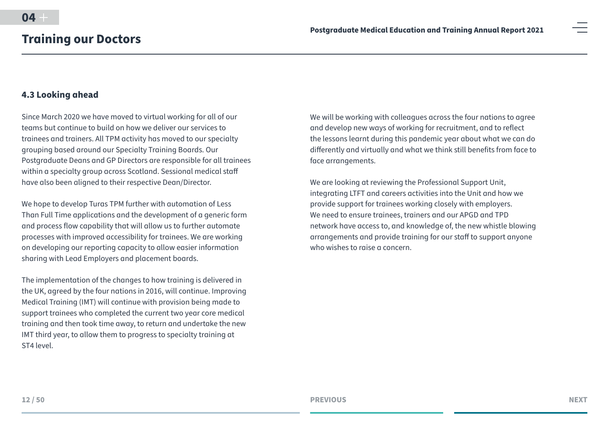## <span id="page-11-0"></span>**4.3 Looking ahead**

Since March 2020 we have moved to virtual working for all of our teams but continue to build on how we deliver our services to trainees and trainers. All TPM activity has moved to our specialty grouping based around our Specialty Training Boards. Our Postgraduate Deans and GP Directors are responsible for all trainees within a specialty group across Scotland. Sessional medical staff have also been aligned to their respective Dean/Director.

We hope to develop Turas TPM further with automation of Less Than Full Time applications and the development of a generic form and process flow capability that will allow us to further automate processes with improved accessibility for trainees. We are working on developing our reporting capacity to allow easier information sharing with Lead Employers and placement boards.

The implementation of the changes to how training is delivered in the UK, agreed by the four nations in 2016, will continue. Improving Medical Training (IMT) will continue with provision being made to support trainees who completed the current two year core medical training and then took time away, to return and undertake the new IMT third year, to allow them to progress to specialty training at ST4 level.

We will be working with colleagues across the four nations to agree and develop new ways of working for recruitment, and to reflect the lessons learnt during this pandemic year about what we can do differently and virtually and what we think still benefits from face to face arrangements.

We are looking at reviewing the Professional Support Unit, integrating LTFT and careers activities into the Unit and how we provide support for trainees working closely with employers. We need to ensure trainees, trainers and our APGD and TPD network have access to, and knowledge of, the new whistle blowing arrangements and provide training for our staff to support anyone who wishes to raise a concern.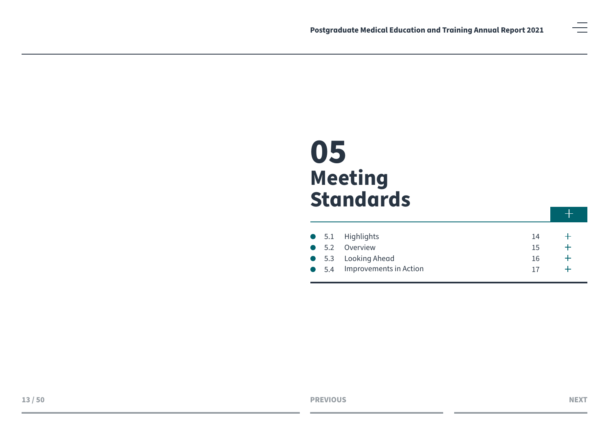<span id="page-12-0"></span>

|  | • 5.1 Highlights                     | 14 |  |
|--|--------------------------------------|----|--|
|  | • 5.2 Overview                       | 15 |  |
|  | • 5.3 Looking Ahead                  | 16 |  |
|  | $\bullet$ 5.4 Improvements in Action |    |  |

 $+$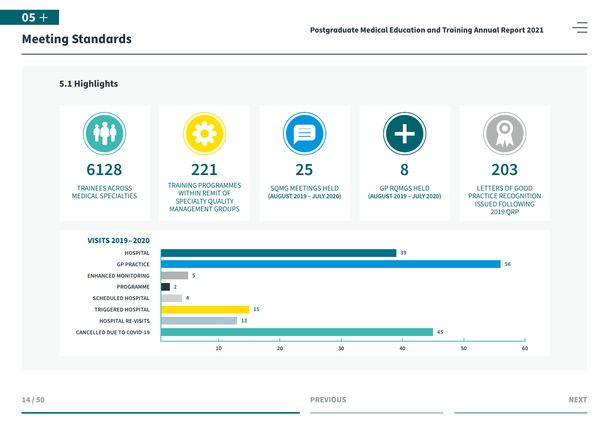<span id="page-13-0"></span>



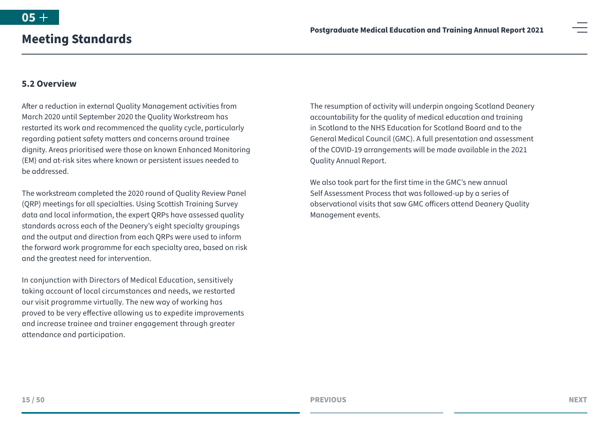### <span id="page-14-0"></span>**5.2 Overview**

After a reduction in external Quality Management activities from March 2020 until September 2020 the Quality Workstream has restarted its work and recommenced the quality cycle, particularly regarding patient safety matters and concerns around trainee dignity. Areas prioritised were those on known Enhanced Monitoring (EM) and at-risk sites where known or persistent issues needed to be addressed.

The workstream completed the 2020 round of Quality Review Panel (QRP) meetings for all specialties. Using Scottish Training Survey data and local information, the expert QRPs have assessed quality standards across each of the Deanery's eight specialty groupings and the output and direction from each QRPs were used to inform the forward work programme for each specialty area, based on risk and the greatest need for intervention.

In conjunction with Directors of Medical Education, sensitively taking account of local circumstances and needs, we restarted our visit programme virtually. The new way of working has proved to be very effective allowing us to expedite improvements and increase trainee and trainer engagement through greater attendance and participation.

The resumption of activity will underpin ongoing Scotland Deanery accountability for the quality of medical education and training in Scotland to the NHS Education for Scotland Board and to the General Medical Council (GMC). A full presentation and assessment of the COVID-19 arrangements will be made available in the 2021 Quality Annual Report.

We also took part for the first time in the GMC's new annual Self Assessment Process that was followed-up by a series of observational visits that saw GMC officers attend Deanery Quality Management events.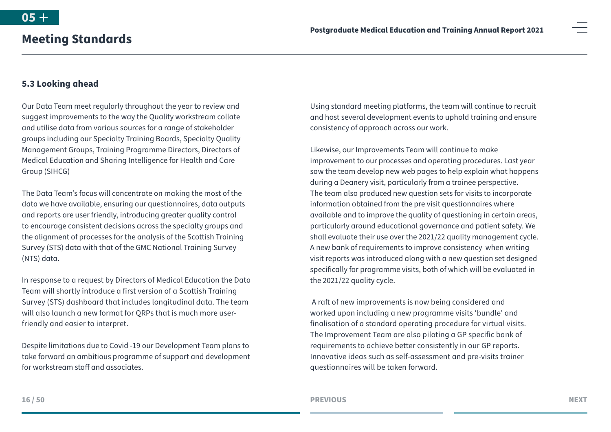# <span id="page-15-0"></span>**5.3 Looking ahead**

Our Data Team meet regularly throughout the year to review and suggest improvements to the way the Quality workstream collate and utilise data from various sources for a range of stakeholder groups including our Specialty Training Boards, Specialty Quality Management Groups, Training Programme Directors, Directors of Medical Education and Sharing Intelligence for Health and Care Group (SIHCG)

The Data Team's focus will concentrate on making the most of the data we have available, ensuring our questionnaires, data outputs and reports are user friendly, introducing greater quality control to encourage consistent decisions across the specialty groups and the alignment of processes for the analysis of the Scottish Training Survey (STS) data with that of the GMC National Training Survey (NTS) data.

In response to a request by Directors of Medical Education the Data Team will shortly introduce a first version of a Scottish Training Survey (STS) dashboard that includes longitudinal data. The team will also launch a new format for QRPs that is much more userfriendly and easier to interpret.

Despite limitations due to Covid -19 our Development Team plans to take forward an ambitious programme of support and development for workstream staff and associates.

Using standard meeting platforms, the team will continue to recruit and host several development events to uphold training and ensure consistency of approach across our work.

Likewise, our Improvements Team will continue to make improvement to our processes and operating procedures. Last year saw the team develop new web pages to help explain what happens during a Deanery visit, particularly from a trainee perspective. The team also produced new question sets for visits to incorporate information obtained from the pre visit questionnaires where available and to improve the quality of questioning in certain areas, particularly around educational governance and patient safety. We shall evaluate their use over the 2021/22 quality management cycle. A new bank of requirements to improve consistency when writing visit reports was introduced along with a new question set designed specifically for programme visits, both of which will be evaluated in the 2021/22 quality cycle.

 A raft of new improvements is now being considered and worked upon including a new programme visits 'bundle' and finalisation of a standard operating procedure for virtual visits. The Improvement Team are also piloting a GP specific bank of requirements to achieve better consistently in our GP reports. Innovative ideas such as self-assessment and pre-visits trainer questionnaires will be taken forward.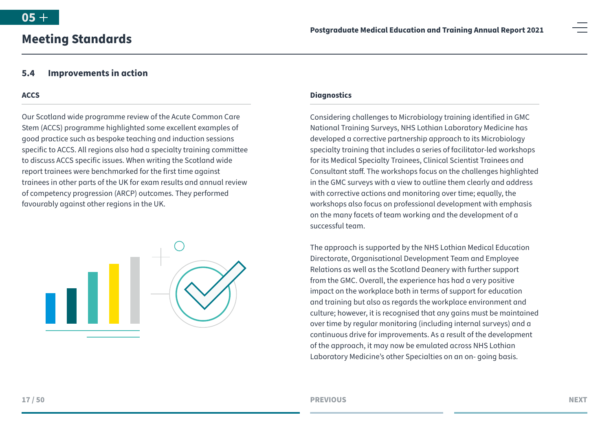## **5.4 Improvements in action**

<span id="page-16-0"></span>**Meeting Standards**

#### **ACCS**

Our Scotland wide programme review of the Acute Common Care Stem (ACCS) programme highlighted some excellent examples of good practice such as bespoke teaching and induction sessions specific to ACCS. All regions also had a specialty training committee to discuss ACCS specific issues. When writing the Scotland wide report trainees were benchmarked for the first time against trainees in other parts of the UK for exam results and annual review of competency progression (ARCP) outcomes. They performed favourably against other regions in the UK.



#### **Diagnostics**

Considering challenges to Microbiology training identified in GMC National Training Surveys, NHS Lothian Laboratory Medicine has developed a corrective partnership approach to its Microbiology specialty training that includes a series of facilitator-led workshops for its Medical Specialty Trainees, Clinical Scientist Trainees and Consultant staff. The workshops focus on the challenges highlighted in the GMC surveys with a view to outline them clearly and address with corrective actions and monitoring over time; equally, the workshops also focus on professional development with emphasis on the many facets of team working and the development of a successful team.

The approach is supported by the NHS Lothian Medical Education Directorate, Organisational Development Team and Employee Relations as well as the Scotland Deanery with further support from the GMC. Overall, the experience has had a very positive impact on the workplace both in terms of support for education and training but also as regards the workplace environment and culture; however, it is recognised that any gains must be maintained over time by regular monitoring (including internal surveys) and a continuous drive for improvements. As a result of the development of the approach, it may now be emulated across NHS Lothian Laboratory Medicine's other Specialties on an on- going basis.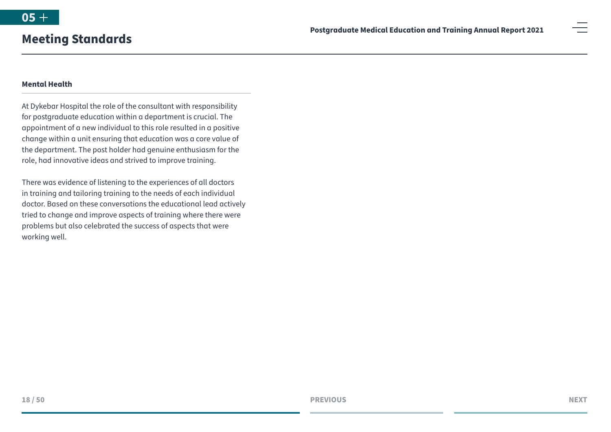#### **Mental Health**

At Dykebar Hospital the role of the consultant with responsibility for postgraduate education within a department is crucial. The appointment of a new individual to this role resulted in a positive change within a unit ensuring that education was a core value of the department. The post holder had genuine enthusiasm for the role, had innovative ideas and strived to improve training.

There was evidence of listening to the experiences of all doctors in training and tailoring training to the needs of each individual doctor. Based on these conversations the educational lead actively tried to change and improve aspects of training where there were problems but also celebrated the success of aspects that were working well.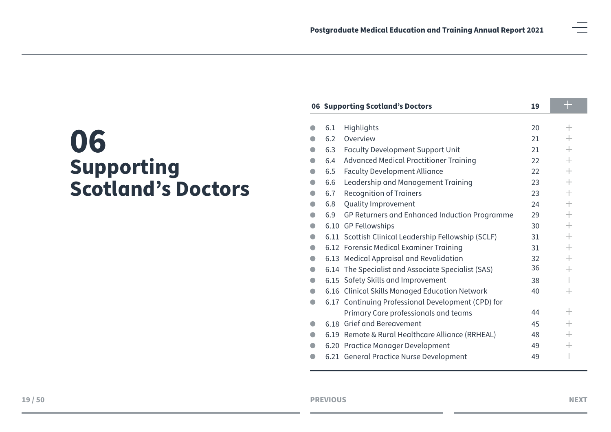<span id="page-18-0"></span>

| <b>06 Supporting Scotland's Doctors</b><br>19 |     |                                                     |    |                    |
|-----------------------------------------------|-----|-----------------------------------------------------|----|--------------------|
|                                               |     |                                                     |    |                    |
|                                               | 6.1 | Highlights                                          | 20 | $\pm$              |
|                                               | 6.2 | Overview                                            | 21 | $^{+}$             |
|                                               | 6.3 | <b>Faculty Development Support Unit</b>             | 21 | $\hspace{0.1mm} +$ |
|                                               | 6.4 | <b>Advanced Medical Practitioner Training</b>       | 22 | $\hspace{0.1mm} +$ |
|                                               | 6.5 | <b>Faculty Development Alliance</b>                 | 22 | $\hspace{0.1mm} +$ |
| $\bullet$                                     | 6.6 | Leadership and Management Training                  | 23 | $\hspace{0.1mm} +$ |
|                                               | 6.7 | <b>Recognition of Trainers</b>                      | 23 |                    |
|                                               | 6.8 | Quality Improvement                                 | 24 |                    |
|                                               | 6.9 | GP Returners and Enhanced Induction Programme       | 29 | $\hspace{0.1mm} +$ |
|                                               |     | 6.10 GP Fellowships                                 | 30 | $\hspace{0.1mm} +$ |
| $\bullet$                                     |     | 6.11 Scottish Clinical Leadership Fellowship (SCLF) | 31 | $\hspace{0.1mm} +$ |
|                                               |     | 6.12 Forensic Medical Examiner Training             | 31 | $\hspace{0.1mm} +$ |
|                                               |     | 6.13 Medical Appraisal and Revalidation             | 32 | $\hspace{0.1mm} +$ |
|                                               |     | 6.14 The Specialist and Associate Specialist (SAS)  | 36 | $\hspace{0.1mm} +$ |
|                                               |     | 6.15 Safety Skills and Improvement                  | 38 | $\hspace{0.1mm} +$ |
|                                               |     | 6.16 Clinical Skills Managed Education Network      | 40 | $\!+\!$            |
| $\bullet$                                     |     | 6.17 Continuing Professional Development (CPD) for  |    |                    |
|                                               |     | Primary Care professionals and teams                | 44 | $\hspace{0.1mm} +$ |
|                                               |     | 6.18 Grief and Bereavement                          | 45 | $\hspace{0.1mm} +$ |
|                                               |     | 6.19 Remote & Rural Healthcare Alliance (RRHEAL)    | 48 | $\hspace{0.1mm} +$ |
|                                               |     | 6.20 Practice Manager Development                   | 49 | $\hspace{0.1mm} +$ |
|                                               |     | 6.21 General Practice Nurse Development             | 49 | $\hspace{0.1mm} +$ |
|                                               |     |                                                     |    |                    |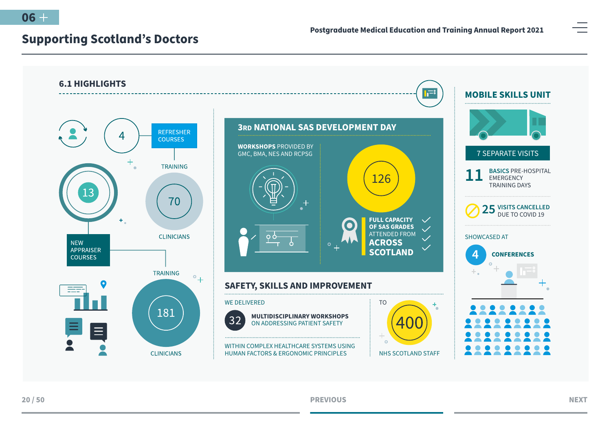<span id="page-19-0"></span>



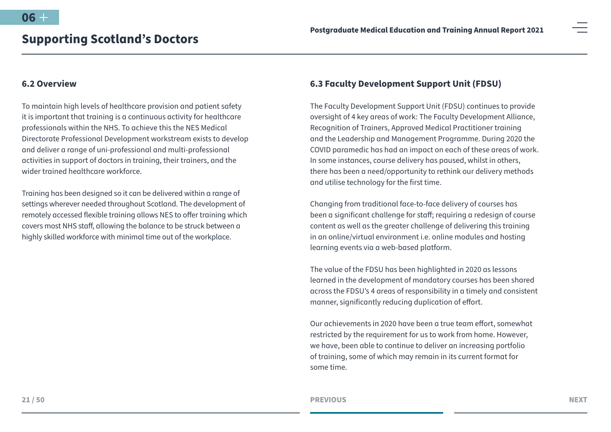## <span id="page-20-0"></span>**6.2 Overview**

To maintain high levels of healthcare provision and patient safety it is important that training is a continuous activity for healthcare professionals within the NHS. To achieve this the NES Medical Directorate Professional Development workstream exists to develop and deliver a range of uni-professional and multi-professional activities in support of doctors in training, their trainers, and the wider trained healthcare workforce.

Training has been designed so it can be delivered within a range of settings wherever needed throughout Scotland. The development of remotely accessed flexible training allows NES to offer training which covers most NHS staff, allowing the balance to be struck between a highly skilled workforce with minimal time out of the workplace.

# **6.3 Faculty Development Support Unit (FDSU)**

The Faculty Development Support Unit (FDSU) continues to provide oversight of 4 key areas of work: The Faculty Development Alliance, Recognition of Trainers, Approved Medical Practitioner training and the Leadership and Management Programme. During 2020 the COVID paramedic has had an impact on each of these areas of work. In some instances, course delivery has paused, whilst in others, there has been a need/opportunity to rethink our delivery methods and utilise technology for the first time.

Changing from traditional face-to-face delivery of courses has been a significant challenge for staff; requiring a redesign of course content as well as the greater challenge of delivering this training in an online/virtual environment i.e. online modules and hosting learning events via a web-based platform.

The value of the FDSU has been highlighted in 2020 as lessons learned in the development of mandatory courses has been shared across the FDSU's 4 areas of responsibility in a timely and consistent manner, significantly reducing duplication of effort.

Our achievements in 2020 have been a true team effort, somewhat restricted by the requirement for us to work from home. However, we have, been able to continue to deliver an increasing portfolio of training, some of which may remain in its current format for some time.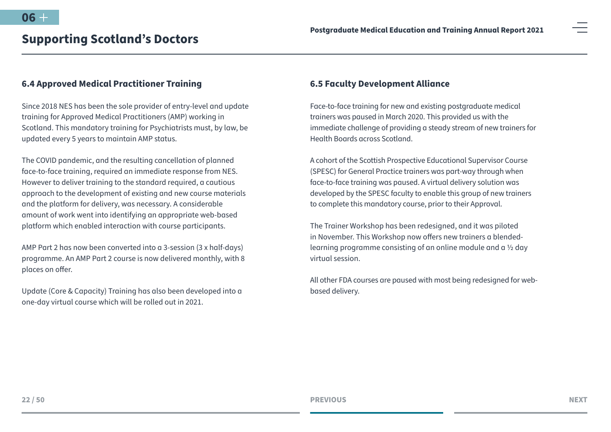# <span id="page-21-0"></span>**6.4 Approved Medical Practitioner Training**

Since 2018 NES has been the sole provider of entry-level and update training for Approved Medical Practitioners (AMP) working in Scotland. This mandatory training for Psychiatrists must, by law, be updated every 5 years to maintain AMP status.

The COVID pandemic, and the resulting cancellation of planned face-to-face training, required an immediate response from NES. However to deliver training to the standard required, a cautious approach to the development of existing and new course materials and the platform for delivery, was necessary. A considerable amount of work went into identifying an appropriate web-based platform which enabled interaction with course participants.

AMP Part 2 has now been converted into a 3-session (3 x half-days) programme. An AMP Part 2 course is now delivered monthly, with 8 places on offer.

Update (Core & Capacity) Training has also been developed into a one-day virtual course which will be rolled out in 2021.

## **6.5 Faculty Development Alliance**

Face-to-face training for new and existing postgraduate medical trainers was paused in March 2020. This provided us with the immediate challenge of providing a steady stream of new trainers for Health Boards across Scotland.

A cohort of the Scottish Prospective Educational Supervisor Course (SPESC) for General Practice trainers was part-way through when face-to-face training was paused. A virtual delivery solution was developed by the SPESC faculty to enable this group of new trainers to complete this mandatory course, prior to their Approval.

The Trainer Workshop has been redesigned, and it was piloted in November. This Workshop now offers new trainers a blendedlearning programme consisting of an online module and a ½ day virtual session.

All other FDA courses are paused with most being redesigned for webbased delivery.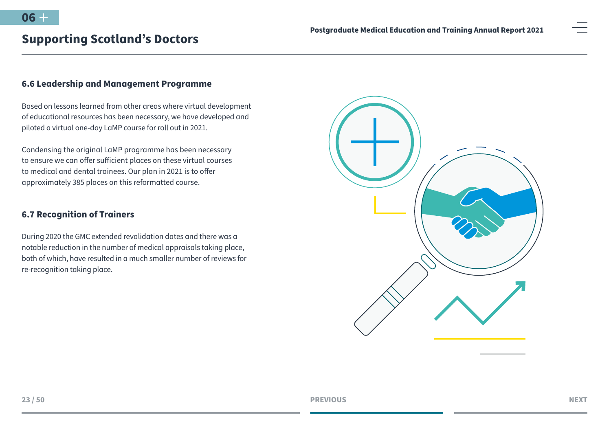# <span id="page-22-0"></span>**6.6 Leadership and Management Programme**

Based on lessons learned from other areas where virtual development of educational resources has been necessary, we have developed and piloted a virtual one-day LaMP course for roll out in 2021.

Condensing the original LaMP programme has been necessary to ensure we can offer sufficient places on these virtual courses to medical and dental trainees. Our plan in 2021 is to offer approximately 385 places on this reformatted course.

# **6.7 Recognition of Trainers**

During 2020 the GMC extended revalidation dates and there was a notable reduction in the number of medical appraisals taking place, both of which, have resulted in a much smaller number of reviews for re-recognition taking place.

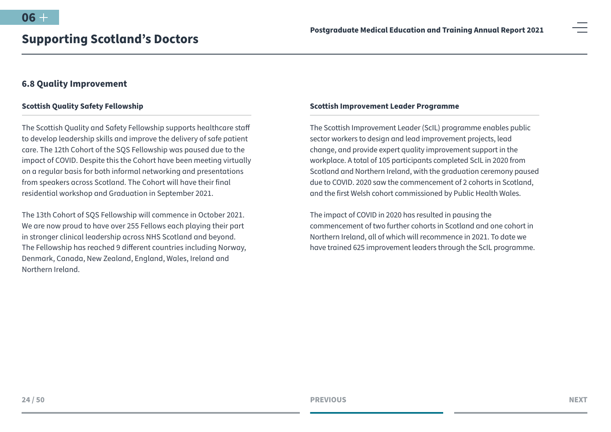### <span id="page-23-0"></span>**6.8 Quality Improvement**

#### **Scottish Quality Safety Fellowship**

The Scottish Quality and Safety Fellowship supports healthcare staff to develop leadership skills and improve the delivery of safe patient care. The 12th Cohort of the SQS Fellowship was paused due to the impact of COVID. Despite this the Cohort have been meeting virtually on a regular basis for both informal networking and presentations from speakers across Scotland. The Cohort will have their final residential workshop and Graduation in September 2021.

The 13th Cohort of SQS Fellowship will commence in October 2021. We are now proud to have over 255 Fellows each playing their part in stronger clinical leadership across NHS Scotland and beyond. The Fellowship has reached 9 different countries including Norway, Denmark, Canada, New Zealand, England, Wales, Ireland and Northern Ireland.

#### **Scottish Improvement Leader Programme**

The Scottish Improvement Leader (ScIL) programme enables public sector workers to design and lead improvement projects, lead change, and provide expert quality improvement support in the workplace. A total of 105 participants completed ScIL in 2020 from Scotland and Northern Ireland, with the graduation ceremony paused due to COVID. 2020 saw the commencement of 2 cohorts in Scotland, and the first Welsh cohort commissioned by Public Health Wales.

The impact of COVID in 2020 has resulted in pausing the commencement of two further cohorts in Scotland and one cohort in Northern Ireland, all of which will recommence in 2021. To date we have trained 625 improvement leaders through the ScIL programme.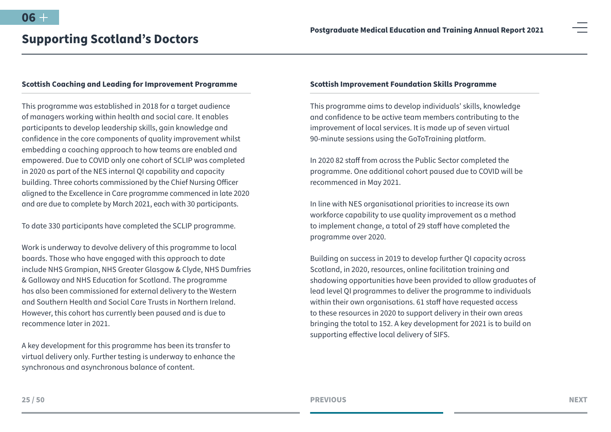#### **Scottish Coaching and Leading for Improvement Programme**

This programme was established in 2018 for a target audience of managers working within health and social care. It enables participants to develop leadership skills, gain knowledge and confidence in the core components of quality improvement whilst embedding a coaching approach to how teams are enabled and empowered. Due to COVID only one cohort of SCLIP was completed in 2020 as part of the NES internal QI capability and capacity building. Three cohorts commissioned by the Chief Nursing Officer aligned to the Excellence in Care programme commenced in late 2020 and are due to complete by March 2021, each with 30 participants.

To date 330 participants have completed the SCLIP programme.

Work is underway to devolve delivery of this programme to local boards. Those who have engaged with this approach to date include NHS Grampian, NHS Greater Glasgow & Clyde, NHS Dumfries & Galloway and NHS Education for Scotland. The programme has also been commissioned for external delivery to the Western and Southern Health and Social Care Trusts in Northern Ireland. However, this cohort has currently been paused and is due to recommence later in 2021.

A key development for this programme has been its transfer to virtual delivery only. Further testing is underway to enhance the synchronous and asynchronous balance of content.

#### **Scottish Improvement Foundation Skills Programme**

This programme aims to develop individuals' skills, knowledge and confidence to be active team members contributing to the improvement of local services. It is made up of seven virtual 90-minute sessions using the GoToTraining platform.

In 2020 82 staff from across the Public Sector completed the programme. One additional cohort paused due to COVID will be recommenced in May 2021.

In line with NES organisational priorities to increase its own workforce capability to use quality improvement as a method to implement change, a total of 29 staff have completed the programme over 2020.

Building on success in 2019 to develop further QI capacity across Scotland, in 2020, resources, online facilitation training and shadowing opportunities have been provided to allow graduates of lead level QI programmes to deliver the programme to individuals within their own organisations. 61 staff have requested access to these resources in 2020 to support delivery in their own areas bringing the total to 152. A key development for 2021 is to build on supporting effective local delivery of SIFS.

**25 / 50**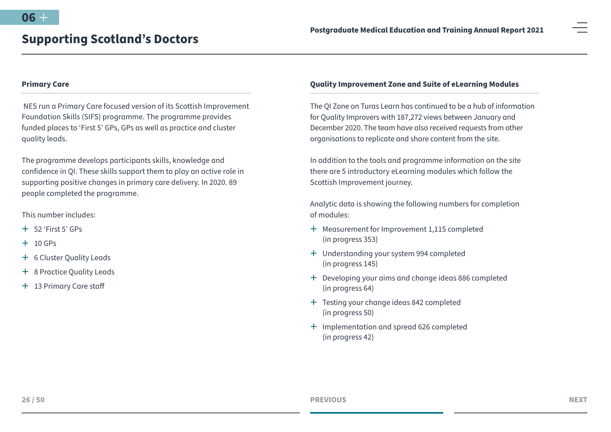#### **Primary Care**

 NES run a Primary Care focused version of its Scottish Improvement Foundation Skills (SIFS) programme. The programme provides funded places to 'First 5' GPs, GPs as well as practice and cluster quality leads.

The programme develops participants skills, knowledge and confidence in QI. These skills support them to play an active role in supporting positive changes in primary care delivery. In 2020. 89 people completed the programme.

This number includes:

- $+ 52$  'First 5' GPs
- $+$  10 GPs
- + 6 Cluster Quality Leads
- + 8 Practice Quality Leads
- + 13 Primary Care staff

#### **Quality Improvement Zone and Suite of eLearning Modules**

The QI Zone on Turas Learn has continued to be a hub of information for Quality Improvers with 187,272 views between January and December 2020. The team have also received requests from other organisations to replicate and share content from the site.

In addition to the tools and programme information on the site there are 5 introductory eLearning modules which follow the Scottish Improvement journey.

Analytic data is showing the following numbers for completion of modules:

- + Measurement for Improvement 1,115 completed (in progress 353)
- $+$  Understanding your system 994 completed (in progress 145)
- <sup>+</sup> Developing your aims and change ideas 886 completed (in progress 64)
- + Testing your change ideas 842 completed (in progress 50)
- $+$  Implementation and spread 626 completed (in progress 42)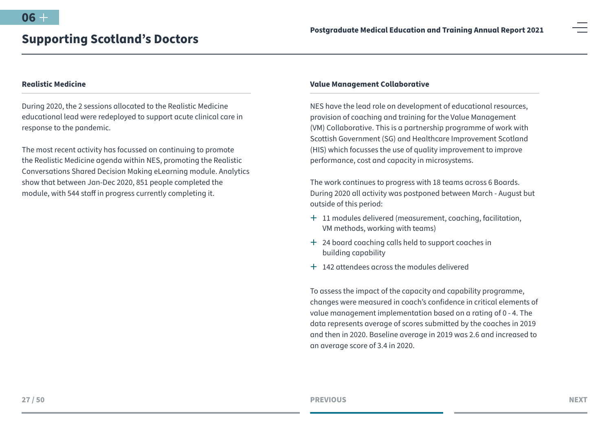#### **Realistic Medicine**

During 2020, the 2 sessions allocated to the Realistic Medicine educational lead were redeployed to support acute clinical care in response to the pandemic.

The most recent activity has focussed on continuing to promote the Realistic Medicine agenda within NES, promoting the Realistic Conversations Shared Decision Making eLearning module. Analytics show that between Jan-Dec 2020, 851 people completed the module, with 544 staff in progress currently completing it.

#### **Value Management Collaborative**

NES have the lead role on development of educational resources, provision of coaching and training for the Value Management (VM) Collaborative. This is a partnership programme of work with Scottish Government (SG) and Healthcare Improvement Scotland (HIS) which focusses the use of quality improvement to improve performance, cost and capacity in microsystems.

The work continues to progress with 18 teams across 6 Boards. During 2020 all activity was postponed between March - August but outside of this period:

- $+$  11 modules delivered (measurement, coaching, facilitation, VM methods, working with teams)
- + 24 board coaching calls held to support coaches in building capability
- $\pm$  142 attendees across the modules delivered

To assess the impact of the capacity and capability programme, changes were measured in coach's confidence in critical elements of value management implementation based on a rating of 0 - 4. The data represents average of scores submitted by the coaches in 2019 and then in 2020. Baseline average in 2019 was 2.6 and increased to an average score of 3.4 in 2020.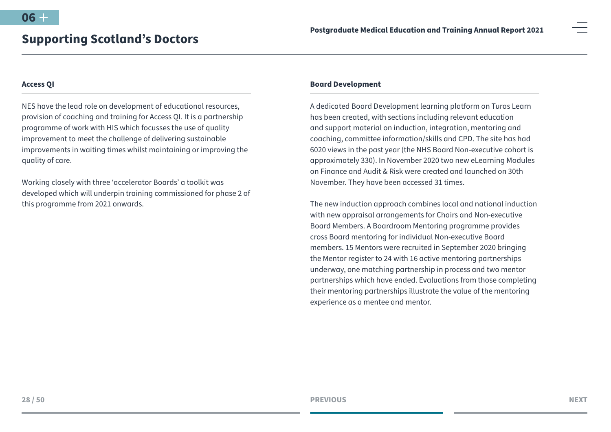#### **Access QI**

NES have the lead role on development of educational resources, provision of coaching and training for Access QI. It is a partnership programme of work with HIS which focusses the use of quality improvement to meet the challenge of delivering sustainable improvements in waiting times whilst maintaining or improving the quality of care.

Working closely with three 'accelerator Boards' a toolkit was developed which will underpin training commissioned for phase 2 of this programme from 2021 onwards.

#### **Board Development**

A dedicated Board Development learning platform on Turas Learn has been created, with sections including relevant education and support material on induction, integration, mentoring and coaching, committee information/skills and CPD. The site has had 6020 views in the past year (the NHS Board Non-executive cohort is approximately 330). In November 2020 two new eLearning Modules on Finance and Audit & Risk were created and launched on 30th November. They have been accessed 31 times.

The new induction approach combines local and national induction with new appraisal arrangements for Chairs and Non-executive Board Members. A Boardroom Mentoring programme provides cross Board mentoring for individual Non-executive Board members. 15 Mentors were recruited in September 2020 bringing the Mentor register to 24 with 16 active mentoring partnerships underway, one matching partnership in process and two mentor partnerships which have ended. Evaluations from those completing their mentoring partnerships illustrate the value of the mentoring experience as a mentee and mentor.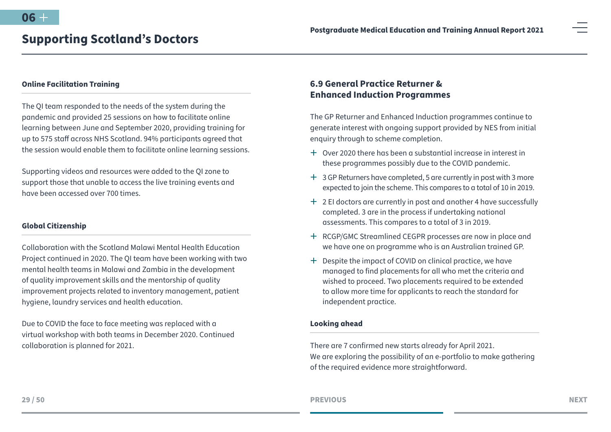#### <span id="page-28-0"></span>**Online Facilitation Training**

The QI team responded to the needs of the system during the pandemic and provided 25 sessions on how to facilitate online learning between June and September 2020, providing training for up to 575 staff across NHS Scotland. 94% participants agreed that the session would enable them to facilitate online learning sessions.

Supporting videos and resources were added to the QI zone to support those that unable to access the live training events and have been accessed over 700 times.

#### **Global Citizenship**

Collaboration with the Scotland Malawi Mental Health Education Project continued in 2020. The QI team have been working with two mental health teams in Malawi and Zambia in the development of quality improvement skills and the mentorship of quality improvement projects related to inventory management, patient hygiene, laundry services and health education.

Due to COVID the face to face meeting was replaced with a virtual workshop with both teams in December 2020. Continued collaboration is planned for 2021.

# **6.9 General Practice Returner & Enhanced Induction Programmes**

The GP Returner and Enhanced Induction programmes continue to generate interest with ongoing support provided by NES from initial enquiry through to scheme completion.

- $\pm$  Over 2020 there has been a substantial increase in interest in these programmes possibly due to the COVID pandemic.
- $\pm$  3 GP Returners have completed, 5 are currently in post with 3 more expected to join the scheme. This compares to a total of 10 in 2019.
- $+$  2 EI doctors are currently in post and another 4 have successfully completed. 3 are in the process if undertaking national assessments. This compares to a total of 3 in 2019.
- ª RCGP/GMC Streamlined CEGPR processes are now in place and we have one on programme who is an Australian trained GP.
- $+$  Despite the impact of COVID on clinical practice, we have managed to find placements for all who met the criteria and wished to proceed. Two placements required to be extended to allow more time for applicants to reach the standard for independent practice.

#### **Looking ahead**

There are 7 confirmed new starts already for April 2021. We are exploring the possibility of an e-portfolio to make gathering of the required evidence more straightforward.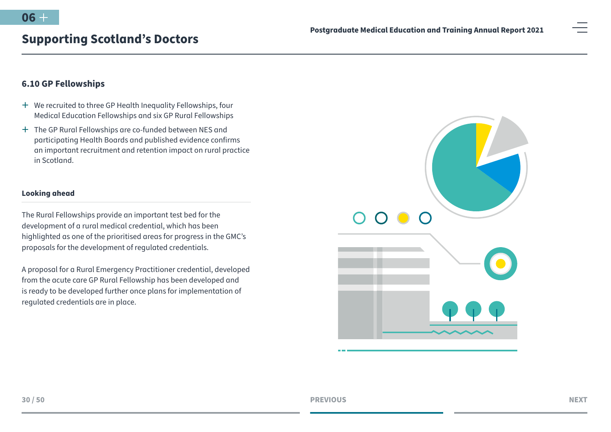# <span id="page-29-0"></span>**6.10 GP Fellowships**

- <sup>+</sup> We recruited to three GP Health Inequality Fellowships, four Medical Education Fellowships and six GP Rural Fellowships
- <sup>+</sup> The GP Rural Fellowships are co-funded between NES and participating Health Boards and published evidence confirms an important recruitment and retention impact on rural practice in Scotland.

#### **Looking ahead**

The Rural Fellowships provide an important test bed for the development of a rural medical credential, which has been highlighted as one of the prioritised areas for progress in the GMC's proposals for the development of regulated credentials.

A proposal for a Rural Emergency Practitioner credential, developed from the acute care GP Rural Fellowship has been developed and is ready to be developed further once plans for implementation of regulated credentials are in place.

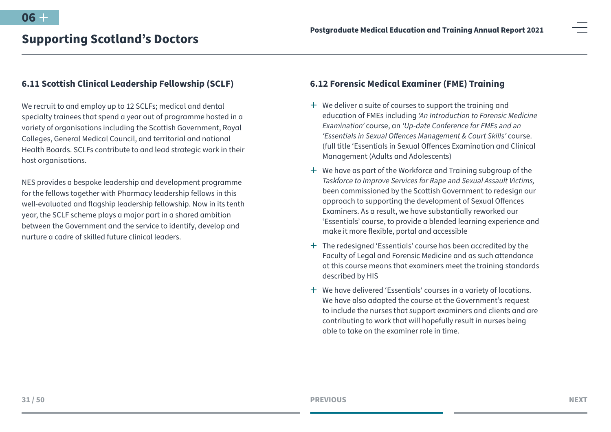### <span id="page-30-0"></span>**6.11 Scottish Clinical Leadership Fellowship (SCLF)**

We recruit to and employ up to 12 SCLFs; medical and dental specialty trainees that spend a year out of programme hosted in a variety of organisations including the Scottish Government, Royal Colleges, General Medical Council, and territorial and national Health Boards. SCLFs contribute to and lead strategic work in their host organisations.

NES provides a bespoke leadership and development programme for the fellows together with Pharmacy leadership fellows in this well-evaluated and flagship leadership fellowship. Now in its tenth year, the SCLF scheme plays a major part in a shared ambition between the Government and the service to identify, develop and nurture a cadre of skilled future clinical leaders.

# **6.12 Forensic Medical Examiner (FME) Training**

- $+$  We deliver a suite of courses to support the training and education of FMEs including *'An Introduction to Forensic Medicine Examination'* course, an *'Up-date Conference for FMEs and an 'Essentials in Sexual Offences Management & Court Skills'* course. (full title 'Essentials in Sexual Offences Examination and Clinical Management (Adults and Adolescents)
- $+$  We have as part of the Workforce and Training subgroup of the *Taskforce to Improve Services for Rape and Sexual Assault Victims,* been commissioned by the Scottish Government to redesign our approach to supporting the development of Sexual Offences Examiners. As a result, we have substantially reworked our 'Essentials' course, to provide a blended learning experience and make it more flexible, portal and accessible
- $+$  The redesigned 'Essentials' course has been accredited by the Faculty of Legal and Forensic Medicine and as such attendance at this course means that examiners meet the training standards described by HIS
- <sup>+</sup> We have delivered 'Essentials' courses in a variety of locations. We have also adapted the course at the Government's request to include the nurses that support examiners and clients and are contributing to work that will hopefully result in nurses being able to take on the examiner role in time.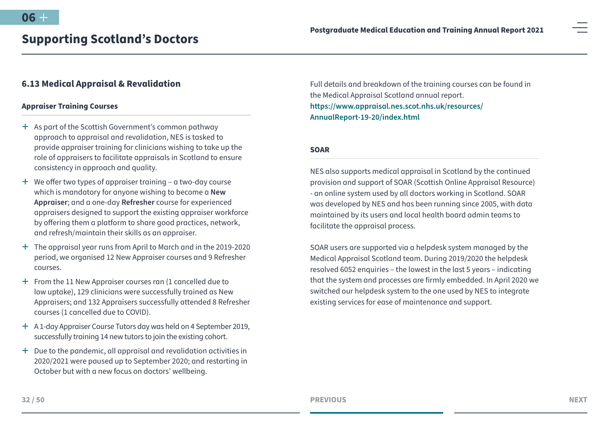# <span id="page-31-0"></span>**6.13 Medical Appraisal & Revalidation**

#### **Appraiser Training Courses**

- $+$  As part of the Scottish Government's common pathway approach to appraisal and revalidation, NES is tasked to provide appraiser training for clinicians wishing to take up the role of appraisers to facilitate appraisals in Scotland to ensure consistency in approach and quality.
- $+$  We offer two types of appraiser training a two-day course which is mandatory for anyone wishing to become a **New Appraiser**; and a one-day **Refresher** course for experienced appraisers designed to support the existing appraiser workforce by offering them a platform to share good practices, network, and refresh/maintain their skills as an appraiser.
- $+$  The appraisal year runs from April to March and in the 2019-2020 period, we organised 12 New Appraiser courses and 9 Refresher courses.
- $+$  From the 11 New Appraiser courses ran (1 cancelled due to low uptake), 129 clinicians were successfully trained as New Appraisers; and 132 Appraisers successfully attended 8 Refresher courses (1 cancelled due to COVID).
- ª A 1-day Appraiser Course Tutors day was held on 4 September 2019, successfully training 14 new tutors to join the existing cohort.
- $+$  Due to the pandemic, all appraisal and revalidation activities in 2020/2021 were paused up to September 2020; and restarting in October but with a new focus on doctors' wellbeing.

Full details and breakdown of the training courses can be found in the Medical Appraisal Scotland annual report. **[https://www.appraisal.nes.scot.nhs.uk/resources/](https://www.appraisal.nes.scot.nhs.uk/resources/AnnualReport-19-20/index.html) [AnnualReport-19-20/index.html](https://www.appraisal.nes.scot.nhs.uk/resources/AnnualReport-19-20/index.html)**

#### **SOAR**

NES also supports medical appraisal in Scotland by the continued provision and support of SOAR (Scottish Online Appraisal Resource) - an online system used by all doctors working in Scotland. SOAR was developed by NES and has been running since 2005, with data maintained by its users and local health board admin teams to facilitate the appraisal process.

SOAR users are supported via a helpdesk system managed by the Medical Appraisal Scotland team. During 2019/2020 the helpdesk resolved 6052 enquiries – the lowest in the last 5 years – indicating that the system and processes are firmly embedded. In April 2020 we switched our helpdesk system to the one used by NES to integrate existing services for ease of maintenance and support.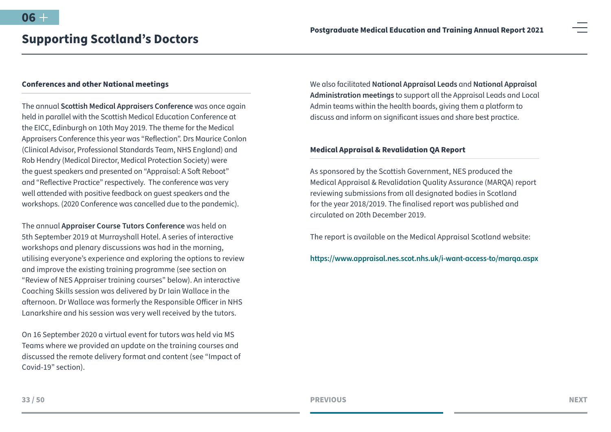#### **Conferences and other National meetings**

The annual **Scottish Medical Appraisers Conference** was once again held in parallel with the Scottish Medical Education Conference at the EICC, Edinburgh on 10th May 2019. The theme for the Medical Appraisers Conference this year was "Reflection". Drs Maurice Conlon (Clinical Advisor, Professional Standards Team, NHS England) and Rob Hendry (Medical Director, Medical Protection Society) were the guest speakers and presented on "Appraisal: A Soft Reboot" and "Reflective Practice" respectively. The conference was very well attended with positive feedback on guest speakers and the workshops. (2020 Conference was cancelled due to the pandemic).

The annual **Appraiser Course Tutors Conference** was held on 5th September 2019 at Murrayshall Hotel. A series of interactive workshops and plenary discussions was had in the morning, utilising everyone's experience and exploring the options to review and improve the existing training programme (see section on "Review of NES Appraiser training courses" below). An interactive Coaching Skills session was delivered by Dr Iain Wallace in the afternoon. Dr Wallace was formerly the Responsible Officer in NHS Lanarkshire and his session was very well received by the tutors.

On 16 September 2020 a virtual event for tutors was held via MS Teams where we provided an update on the training courses and discussed the remote delivery format and content (see "Impact of Covid-19" section).

We also facilitated **National Appraisal Leads** and **National Appraisal Administration meetings** to support all the Appraisal Leads and Local Admin teams within the health boards, giving them a platform to discuss and inform on significant issues and share best practice.

#### **Medical Appraisal & Revalidation QA Report**

As sponsored by the Scottish Government, NES produced the Medical Appraisal & Revalidation Quality Assurance (MARQA) report reviewing submissions from all designated bodies in Scotland for the year 2018/2019. The finalised report was published and circulated on 20th December 2019.

The report is available on the Medical Appraisal Scotland website:

**[https://www.appraisal.nes.scot.nhs.uk/i-want-access-to/marqa.aspx](https://www.appraisal.nes.scot.nhs.uk/i-want-access-to/marqa.aspx )**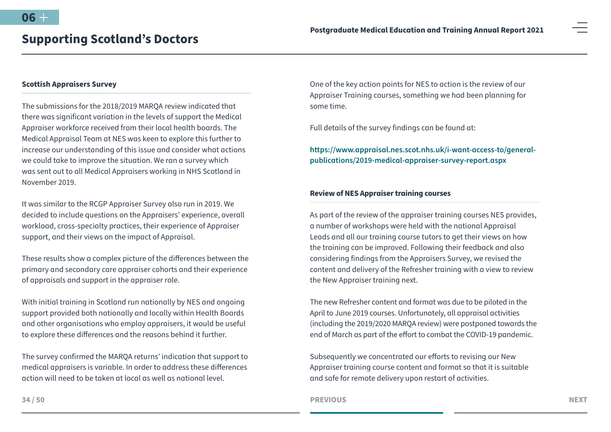#### **Scottish Appraisers Survey**

The submissions for the 2018/2019 MARQA review indicated that there was significant variation in the levels of support the Medical Appraiser workforce received from their local health boards. The Medical Appraisal Team at NES was keen to explore this further to increase our understanding of this issue and consider what actions we could take to improve the situation. We ran a survey which was sent out to all Medical Appraisers working in NHS Scotland in November 2019.

It was similar to the RCGP Appraiser Survey also run in 2019. We decided to include questions on the Appraisers' experience, overall workload, cross-specialty practices, their experience of Appraiser support, and their views on the impact of Appraisal.

These results show a complex picture of the differences between the primary and secondary care appraiser cohorts and their experience of appraisals and support in the appraiser role.

With initial training in Scotland run nationally by NES and ongoing support provided both nationally and locally within Health Boards and other organisations who employ appraisers, it would be useful to explore these differences and the reasons behind it further.

The survey confirmed the MARQA returns' indication that support to medical appraisers is variable. In order to address these differences action will need to be taken at local as well as national level.

One of the key action points for NES to action is the review of our Appraiser Training courses, something we had been planning for some time.

Full details of the survey findings can be found at:

**[https://www.appraisal.nes.scot.nhs.uk/i-want-access-to/general](https://www.appraisal.nes.scot.nhs.uk/i-want-access-to/general-publications/2019-medical-appraiser-survey-report.aspx)[publications/2019-medical-appraiser-survey-report.aspx](https://www.appraisal.nes.scot.nhs.uk/i-want-access-to/general-publications/2019-medical-appraiser-survey-report.aspx)**

#### **Review of NES Appraiser training courses**

As part of the review of the appraiser training courses NES provides, a number of workshops were held with the national Appraisal Leads and all our training course tutors to get their views on how the training can be improved. Following their feedback and also considering findings from the Appraisers Survey, we revised the content and delivery of the Refresher training with a view to review the New Appraiser training next.

The new Refresher content and format was due to be piloted in the April to June 2019 courses. Unfortunately, all appraisal activities (including the 2019/2020 MARQA review) were postponed towards the end of March as part of the effort to combat the COVID-19 pandemic.

Subsequently we concentrated our efforts to revising our New Appraiser training course content and format so that it is suitable and safe for remote delivery upon restart of activities.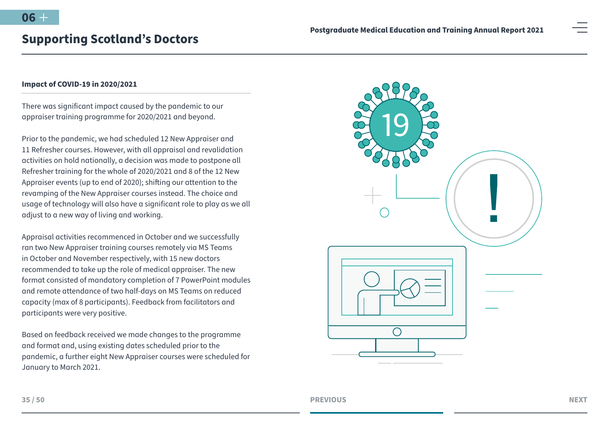#### **Impact of COVID-19 in 2020/2021**

There was significant impact caused by the pandemic to our appraiser training programme for 2020/2021 and beyond.

Prior to the pandemic, we had scheduled 12 New Appraiser and 11 Refresher courses. However, with all appraisal and revalidation activities on hold nationally, a decision was made to postpone all Refresher training for the whole of 2020/2021 and 8 of the 12 New Appraiser events (up to end of 2020); shifting our attention to the revamping of the New Appraiser courses instead. The choice and usage of technology will also have a significant role to play as we all adjust to a new way of living and working.

Appraisal activities recommenced in October and we successfully ran two New Appraiser training courses remotely via MS Teams in October and November respectively, with 15 new doctors recommended to take up the role of medical appraiser. The new format consisted of mandatory completion of 7 PowerPoint modules and remote attendance of two half-days on MS Teams on reduced capacity (max of 8 participants). Feedback from facilitators and participants were very positive.

Based on feedback received we made changes to the programme and format and, using existing dates scheduled prior to the pandemic, a further eight New Appraiser courses were scheduled for January to March 2021.

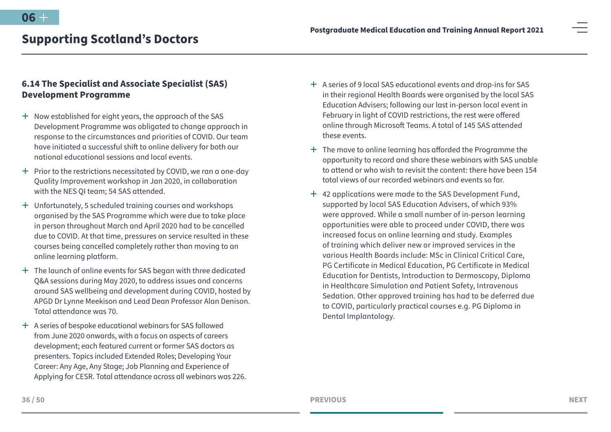<span id="page-35-0"></span>

# **6.14 The Specialist and Associate Specialist (SAS) Development Programme**

- $+$  Now established for eight years, the approach of the SAS Development Programme was obligated to change approach in response to the circumstances and priorities of COVID. Our team have initiated a successful shift to online delivery for both our national educational sessions and local events.
- $+$  Prior to the restrictions necessitated by COVID, we ran a one-day Quality Improvement workshop in Jan 2020, in collaboration with the NES OI team: 54 SAS attended.
- <sup>+</sup> Unfortunately, 5 scheduled training courses and workshops organised by the SAS Programme which were due to take place in person throughout March and April 2020 had to be cancelled due to COVID. At that time, pressures on service resulted in these courses being cancelled completely rather than moving to an online learning platform.
- $+$  The launch of online events for SAS began with three dedicated Q&A sessions during May 2020, to address issues and concerns around SAS wellbeing and development during COVID, hosted by APGD Dr Lynne Meekison and Lead Dean Professor Alan Denison. Total attendance was 70.
- <sup>+</sup> A series of bespoke educational webinars for SAS followed from June 2020 onwards, with a focus on aspects of careers development; each featured current or former SAS doctors as presenters. Topics included Extended Roles; Developing Your Career: Any Age, Any Stage; Job Planning and Experience of Applying for CESR. Total attendance across all webinars was 226.
- ª A series of 9 local SAS educational events and drop-ins for SAS in their regional Health Boards were organised by the local SAS Education Advisers; following our last in-person local event in February in light of COVID restrictions, the rest were offered online through Microsoft Teams. A total of 145 SAS attended these events.
- $+$  The move to online learning has afforded the Programme the opportunity to record and share these webinars with SAS unable to attend or who wish to revisit the content: there have been 154 total views of our recorded webinars and events so far.
- ª 42 applications were made to the SAS Development Fund, supported by local SAS Education Advisers, of which 93% were approved. While a small number of in-person learning opportunities were able to proceed under COVID, there was increased focus on online learning and study. Examples of training which deliver new or improved services in the various Health Boards include: MSc in Clinical Critical Care, PG Certificate in Medical Education, PG Certificate in Medical Education for Dentists, Introduction to Dermoscopy, Diploma in Healthcare Simulation and Patient Safety, Intravenous Sedation. Other approved training has had to be deferred due to COVID, particularly practical courses e.g. PG Diploma in Dental Implantology.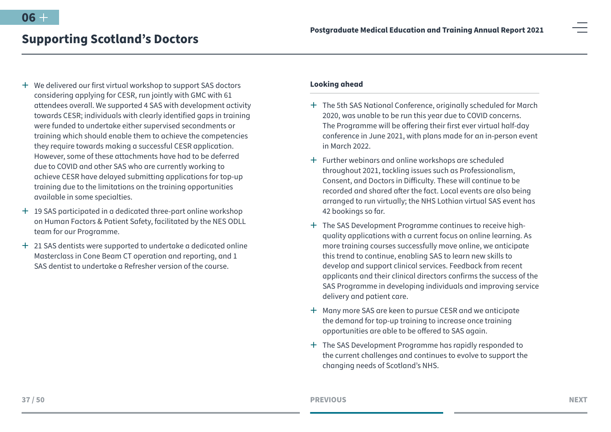- $+$  We delivered our first virtual workshop to support SAS doctors considering applying for CESR, run jointly with GMC with 61 attendees overall. We supported 4 SAS with development activity towards CESR; individuals with clearly identified gaps in training were funded to undertake either supervised secondments or training which should enable them to achieve the competencies they require towards making a successful CESR application. However, some of these attachments have had to be deferred due to COVID and other SAS who are currently working to achieve CESR have delayed submitting applications for top-up training due to the limitations on the training opportunities available in some specialties.
- $+$  19 SAS participated in a dedicated three-part online workshop on Human Factors & Patient Safety, facilitated by the NES ODLL team for our Programme.
- $+$  21 SAS dentists were supported to undertake a dedicated online Masterclass in Cone Beam CT operation and reporting, and 1 SAS dentist to undertake a Refresher version of the course.

#### **Looking ahead**

- <sup>+</sup> The 5th SAS National Conference, originally scheduled for March 2020, was unable to be run this year due to COVID concerns. The Programme will be offering their first ever virtual half-day conference in June 2021, with plans made for an in-person event in March 2022.
- $+$  Further webinars and online workshops are scheduled throughout 2021, tackling issues such as Professionalism, Consent, and Doctors in Difficulty. These will continue to be recorded and shared after the fact. Local events are also being arranged to run virtually; the NHS Lothian virtual SAS event has 42 bookings so far.
- $+$  The SAS Development Programme continues to receive highquality applications with a current focus on online learning. As more training courses successfully move online, we anticipate this trend to continue, enabling SAS to learn new skills to develop and support clinical services. Feedback from recent applicants and their clinical directors confirms the success of the SAS Programme in developing individuals and improving service delivery and patient care.
- <sup>+</sup> Many more SAS are keen to pursue CESR and we anticipate the demand for top-up training to increase once training opportunities are able to be offered to SAS again.
- <sup>+</sup> The SAS Development Programme has rapidly responded to the current challenges and continues to evolve to support the changing needs of Scotland's NHS.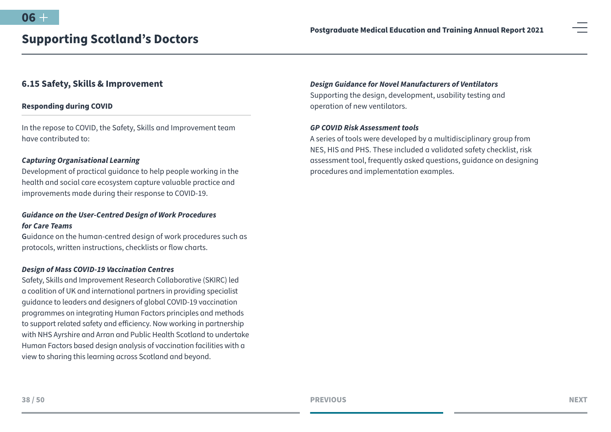### <span id="page-37-0"></span>**6.15 Safety, Skills & Improvement**

#### **Responding during COVID**

In the repose to COVID, the Safety, Skills and Improvement team have contributed to:

#### *Capturing Organisational Learning*

Development of practical guidance to help people working in the health and social care ecosystem capture valuable practice and improvements made during their response to COVID-19.

## *Guidance on the User-Centred Design of Work Procedures for Care Teams*

**G**uidance on the human-centred design of work procedures such as protocols, written instructions, checklists or flow charts.

#### *Design of Mass COVID-19 Vaccination Centres*

Safety, Skills and Improvement Research Collaborative (SKIRC) led a coalition of UK and international partners in providing specialist guidance to leaders and designers of global COVID-19 vaccination programmes on integrating Human Factors principles and methods to support related safety and efficiency. Now working in partnership with NHS Ayrshire and Arran and Public Health Scotland to undertake Human Factors based design analysis of vaccination facilities with a view to sharing this learning across Scotland and beyond.

#### *Design Guidance for Novel Manufacturers of Ventilators*

Supporting the design, development, usability testing and operation of new ventilators.

#### *GP COVID Risk Assessment tools*

A series of tools were developed by a multidisciplinary group from NES, HIS and PHS. These included a validated safety checklist, risk assessment tool, frequently asked questions, guidance on designing procedures and implementation examples.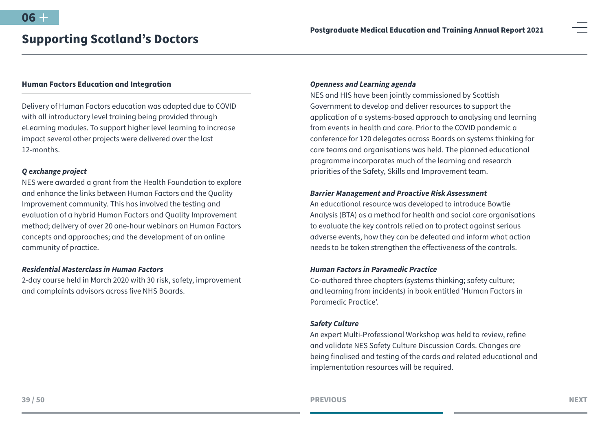#### **Human Factors Education and Integration**

Delivery of Human Factors education was adapted due to COVID with all introductory level training being provided through eLearning modules. To support higher level learning to increase impact several other projects were delivered over the last 12-months.

#### *Q exchange project*

NES were awarded a grant from the Health Foundation to explore and enhance the links between Human Factors and the Quality Improvement community. This has involved the testing and evaluation of a hybrid Human Factors and Quality Improvement method; delivery of over 20 one-hour webinars on Human Factors concepts and approaches; and the development of an online community of practice.

#### *Residential Masterclass in Human Factors*

2-day course held in March 2020 with 30 risk, safety, improvement and complaints advisors across five NHS Boards.

#### *Openness and Learning agenda*

NES and HIS have been jointly commissioned by Scottish Government to develop and deliver resources to support the application of a systems-based approach to analysing and learning from events in health and care. Prior to the COVID pandemic a conference for 120 delegates across Boards on systems thinking for care teams and organisations was held. The planned educational programme incorporates much of the learning and research priorities of the Safety, Skills and Improvement team.

#### *Barrier Management and Proactive Risk Assessment*

An educational resource was developed to introduce Bowtie Analysis (BTA) as a method for health and social care organisations to evaluate the key controls relied on to protect against serious adverse events, how they can be defeated and inform what action needs to be taken strengthen the effectiveness of the controls.

#### *Human Factors in Paramedic Practice*

Co-authored three chapters (systems thinking; safety culture; and learning from incidents) in book entitled 'Human Factors in Paramedic Practice'.

#### *Safety Culture*

An expert Multi-Professional Workshop was held to review, refine and validate NES Safety Culture Discussion Cards. Changes are being finalised and testing of the cards and related educational and implementation resources will be required.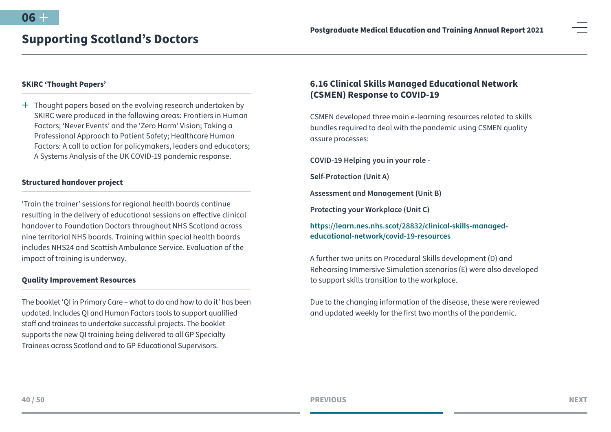#### <span id="page-39-0"></span>**SKIRC 'Thought Papers'**

 $+$  Thought papers based on the evolving research undertaken by SKIRC were produced in the following areas: Frontiers in Human Factors; 'Never Events' and the 'Zero Harm' Vision; Taking a Professional Approach to Patient Safety; Healthcare Human Factors: A call to action for policymakers, leaders and educators; A Systems Analysis of the UK COVID-19 pandemic response.

#### **Structured handover project**

'Train the trainer' sessions for regional health boards continue resulting in the delivery of educational sessions on effective clinical handover to Foundation Doctors throughout NHS Scotland across nine territorial NHS boards. Training within special health boards includes NHS24 and Scottish Ambulance Service. Evaluation of the impact of training is underway.

#### **Quality Improvement Resources**

The booklet 'QI in Primary Care – what to do and how to do it' has been updated. Includes QI and Human Factors tools to support qualified staff and trainees to undertake successful projects. The booklet supports the new QI training being delivered to all GP Specialty Trainees across Scotland and to GP Educational Supervisors.

# **6.16 Clinical Skills Managed Educational Network (CSMEN) Response to COVID-19**

CSMEN developed three main e-learning resources related to skills bundles required to deal with the pandemic using CSMEN quality assure processes:

**COVID-19 Helping you in your role -**

**Self-Protection (Unit A)** 

**Assessment and Management (Unit B)** 

**Protecting your Workplace (Unit C)** 

**[https://learn.nes.nhs.scot/28832/clinical-skills-managed](https://learn.nes.nhs.scot/28832/clinical-skills-managed-educational-network/covid-19-resources)[educational-network/covid-19-resources](https://learn.nes.nhs.scot/28832/clinical-skills-managed-educational-network/covid-19-resources)**

A further two units on Procedural Skills development (D) and Rehearsing Immersive Simulation scenarios (E) were also developed to support skills transition to the workplace.

Due to the changing information of the disease, these were reviewed and updated weekly for the first two months of the pandemic.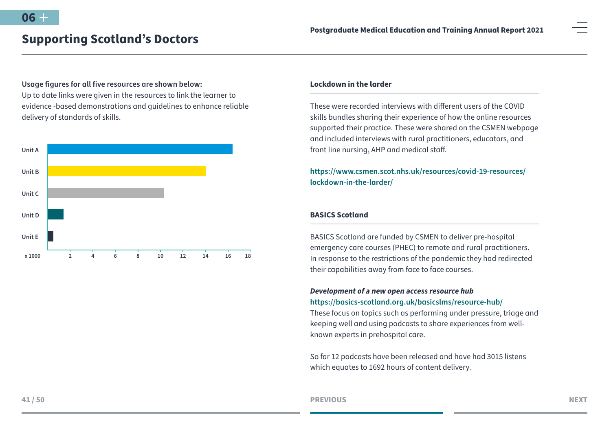# **Usage figures for all five resources are shown below:** Up to date links were given in the resources to link the learner to evidence -based demonstrations and guidelines to enhance reliable delivery of standards of skills.



#### **Lockdown in the larder**

These were recorded interviews with different users of the COVID skills bundles sharing their experience of how the online resources supported their practice. These were shared on the CSMEN webpage and included interviews with rural practitioners, educators, and front line nursing, AHP and medical staff.

# **[https://www.csmen.scot.nhs.uk/resources/covid-19-resources/](https://www.csmen.scot.nhs.uk/resources/covid-19-resources/lockdown-in-the-larder/ ) [lockdown-in-the-larder/](https://www.csmen.scot.nhs.uk/resources/covid-19-resources/lockdown-in-the-larder/ )**

#### **BASICS Scotland**

BASICS Scotland are funded by CSMEN to deliver pre-hospital emergency care courses (PHEC) to remote and rural practitioners. In response to the restrictions of the pandemic they had redirected their capabilities away from face to face courses.

# *Development of a new open access resource hub* **<https://basics-scotland.org.uk/basicslms/resource-hub/>**

These focus on topics such as performing under pressure, triage and keeping well and using podcasts to share experiences from wellknown experts in prehospital care.

So far 12 podcasts have been released and have had 3015 listens which equates to 1692 hours of content delivery.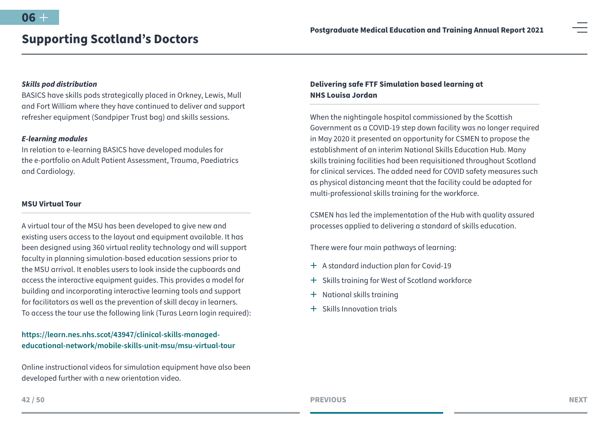#### *Skills pod distribution*

BASICS have skills pods strategically placed in Orkney, Lewis, Mull and Fort William where they have continued to deliver and support refresher equipment (Sandpiper Trust bag) and skills sessions.

#### *E-learning modules*

In relation to e-learning BASICS have developed modules for the e-portfolio on Adult Patient Assessment, Trauma, Paediatrics and Cardiology.

#### **MSU Virtual Tour**

A virtual tour of the MSU has been developed to give new and existing users access to the layout and equipment available. It has been designed using 360 virtual reality technology and will support faculty in planning simulation-based education sessions prior to the MSU arrival. It enables users to look inside the cupboards and access the interactive equipment guides. This provides a model for building and incorporating interactive learning tools and support for facilitators as well as the prevention of skill decay in learners. To access the tour use the following link (Turas Learn login required):

### **[https://learn.nes.nhs.scot/43947/clinical-skills-managed](https://learn.nes.nhs.scot/43947/clinical-skills-managed-educational-network/mobile-skills-unit-msu/)[educational-network/mobile-skills-unit-msu/msu-virtual-tour](https://learn.nes.nhs.scot/43947/clinical-skills-managed-educational-network/mobile-skills-unit-msu/)**

Online instructional videos for simulation equipment have also been developed further with a new orientation video.

## **Delivering safe FTF Simulation based learning at NHS Louisa Jordan**

When the nightingale hospital commissioned by the Scottish Government as a COVID-19 step down facility was no longer required in May 2020 it presented an opportunity for CSMEN to propose the establishment of an interim National Skills Education Hub. Many skills training facilities had been requisitioned throughout Scotland for clinical services. The added need for COVID safety measures such as physical distancing meant that the facility could be adapted for multi-professional skills training for the workforce.

CSMEN has led the implementation of the Hub with quality assured processes applied to delivering a standard of skills education.

There were four main pathways of learning:

- $+$  A standard induction plan for Covid-19
- + Skills training for West of Scotland workforce
- + National skills training
- $+$  Skills Innovation trials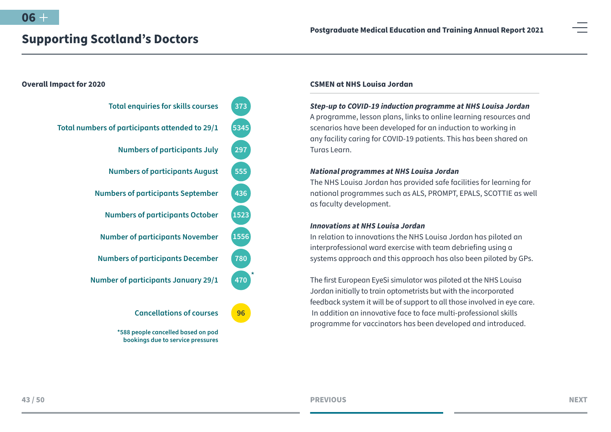

#### **CSMEN at NHS Louisa Jordan**

*Step-up to COVID-19 induction programme at NHS Louisa Jordan* A programme, lesson plans, links to online learning resources and scenarios have been developed for an induction to working in any facility caring for COVID-19 patients. This has been shared on Turas Learn.

#### *National programmes at NHS Louisa Jordan*

The NHS Louisa Jordan has provided safe facilities for learning for national programmes such as ALS, PROMPT, EPALS, SCOTTIE as well as faculty development.

#### *Innovations at NHS Louisa Jordan*

In relation to innovations the NHS Louisa Jordan has piloted an interprofessional ward exercise with team debriefing using a systems approach and this approach has also been piloted by GPs.

The first European EyeSi simulator was piloted at the NHS Louisa Jordan initially to train optometrists but with the incorporated feedback system it will be of support to all those involved in eye care. In addition an innovative face to face multi-professional skills programme for vaccinators has been developed and introduced.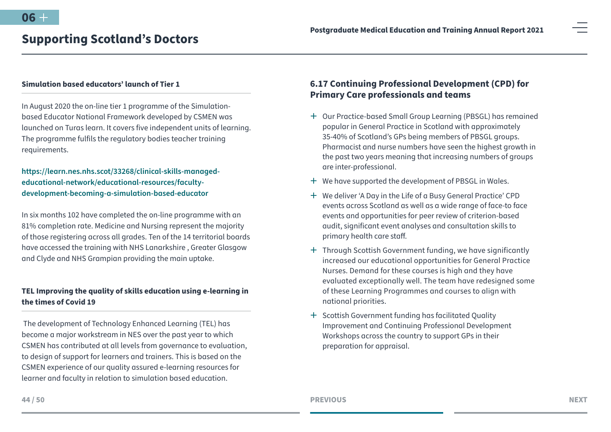#### <span id="page-43-0"></span>**Simulation based educators' launch of Tier 1**

In August 2020 the on-line tier 1 programme of the Simulationbased Educator National Framework developed by CSMEN was launched on Turas learn. It covers five independent units of learning. The programme fulfils the regulatory bodies teacher training requirements.

**[https://learn.nes.nhs.scot/33268/clinical-skills-managed](https://learn.nes.nhs.scot/33268/clinical-skills-managed-educational-network/educational-resources/f)[educational-network/educational-resources/faculty](https://learn.nes.nhs.scot/33268/clinical-skills-managed-educational-network/educational-resources/f)[development-becoming-a-simulation-based-educator](https://learn.nes.nhs.scot/33268/clinical-skills-managed-educational-network/educational-resources/f)**

In six months 102 have completed the on-line programme with an 81% completion rate. Medicine and Nursing represent the majority of those registering across all grades. Ten of the 14 territorial boards have accessed the training with NHS Lanarkshire , Greater Glasgow and Clyde and NHS Grampian providing the main uptake.

# **TEL Improving the quality of skills education using e-learning in the times of Covid 19**

 The development of Technology Enhanced Learning (TEL) has become a major workstream in NES over the past year to which CSMEN has contributed at all levels from governance to evaluation, to design of support for learners and trainers. This is based on the CSMEN experience of our quality assured e-learning resources for learner and faculty in relation to simulation based education.

# **6.17 Continuing Professional Development (CPD) for Primary Care professionals and teams**

- <sup>+</sup> Our Practice-based Small Group Learning (PBSGL) has remained popular in General Practice in Scotland with approximately 35-40% of Scotland's GPs being members of PBSGL groups. Pharmacist and nurse numbers have seen the highest growth in the past two years meaning that increasing numbers of groups are inter-professional.
- $+$  We have supported the development of PBSGL in Wales.
- <sup>+</sup> We deliver 'A Day in the Life of a Busy General Practice' CPD events across Scotland as well as a wide range of face-to face events and opportunities for peer review of criterion-based audit, significant event analyses and consultation skills to primary health care staff.
- <sup>+</sup> Through Scottish Government funding, we have significantly increased our educational opportunities for General Practice Nurses. Demand for these courses is high and they have evaluated exceptionally well. The team have redesigned some of these Learning Programmes and courses to align with national priorities.
- $+$  Scottish Government funding has facilitated Quality Improvement and Continuing Professional Development Workshops across the country to support GPs in their preparation for appraisal.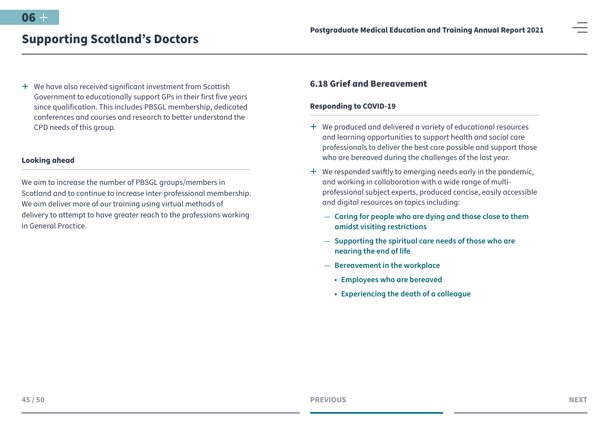<span id="page-44-0"></span><sup>+</sup> We have also received significant investment from Scottish Government to educationally support GPs in their first five years since qualification. This includes PBSGL membership, dedicated conferences and courses and research to better understand the CPD needs of this group.

#### **Looking ahead**

We aim to increase the number of PBSGL groups/members in Scotland and to continue to increase inter-professional membership. We aim deliver more of our training using virtual methods of delivery to attempt to have greater reach to the professions working in General Practice.

# **6.18 Grief and Bereavement**

#### **Responding to COVID-19**

- $+$  We produced and delivered a variety of educational resources and learning opportunities to support health and social care professionals to deliver the best care possible and support those who are bereaved during the challenges of the last year.
- $+$  We responded swiftly to emerging needs early in the pandemic, and working in collaboration with a wide range of multiprofessional subject experts, produced concise, easily accessible and digital resources on topics including:
	- **[Caring for people who are dying and those close to them](http://www.sad.scot.nhs.uk/media/16396/caring-for-people-who-are-dying-amidst-covid-19-visiting-restrictions-web-final.pdf)  [amidst visiting restrictions](http://www.sad.scot.nhs.uk/media/16396/caring-for-people-who-are-dying-amidst-covid-19-visiting-restrictions-web-final.pdf)**
	- **[Supporting the spiritual care needs of those who are](http://www.sad.scot.nhs.uk/media/16465/spiritual-care-resource-web.pdf)  [nearing the end of life](http://www.sad.scot.nhs.uk/media/16465/spiritual-care-resource-web.pdf)**
	- **[Bereavement in the workplace](http://www.sad.scot.nhs.uk/bereavement/dealing-with-bereavement-in-the-workplace/)**
		- **• [Employees who are bereaved](http://www.sad.scot.nhs.uk/media/16419/employees-who-are-bereaved-web.pdf)**
		- **• [Experiencing the death of a colleague](http://www.sad.scot.nhs.uk/media/16414/experiencing-the-death-of-a-colleague-web.pdf)**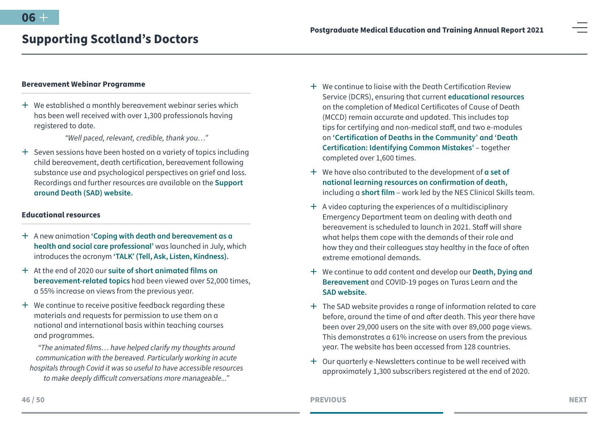#### **Bereavement Webinar Programme**

 $+$  We established a monthly bereavement webinar series which has been well received with over 1,300 professionals having registered to date.

*"Well paced, relevant, credible, thank you…"*

 $+$  Seven sessions have been hosted on a variety of topics including child bereavement, death certification, bereavement following substance use and psychological perspectives on grief and loss. Recordings and further resources are available on the **[Support](http://www.sad.scot.nhs.uk/events/previous-webinars/)  [around Death \(SAD\) website](http://www.sad.scot.nhs.uk/events/previous-webinars/).**

#### **Educational resources**

- ª A new animation **['Coping with death and bereavement as a](https://vimeo.com/440679133)  [health and social care professional'](https://vimeo.com/440679133)** was launched in July, which introduces the acronym **['TALK' \(Tell, Ask, Listen, Kindness\).](http://www.sad.scot.nhs.uk/media/16398/nes-flyer-copywrite.pdf)**
- ª At the end of 2020 our **[suite of short animated films on](http://www.sad.scot.nhs.uk/video-wall)  [bereavement-related topics](http://www.sad.scot.nhs.uk/video-wall)** had been viewed over 52,000 times, a 55% increase on views from the previous year.
- $+$  We continue to receive positive feedback regarding these materials and requests for permission to use them on a national and international basis within teaching courses and programmes.

*"The animated films… have helped clarify my thoughts around communication with the bereaved. Particularly working in acute hospitals through Covid it was so useful to have accessible resources to make deeply difficult conversations more manageable..."*

- $\pm$  We continue to ligise with the Death Certification Review Service (DCRS), ensuring that current **[educational resources](http://www.sad.scot.nhs.uk/atafter-death/death-certification/)** on the completion of Medical Certificates of Cause of Death (MCCD) remain accurate and updated. This includes top tips for certifying and non-medical staff, and two e-modules on **['Certification of Deaths in the Community' and 'Death](https://learn.nes.nhs.scot/6462/death-dying-and-bereavement/death-certification)  [Certification: Identifying Common Mistakes'](https://learn.nes.nhs.scot/6462/death-dying-and-bereavement/death-certification)** – together completed over 1,600 times.
- ª We have also contributed to the development of **[a set of](http://www.sad.scot.nhs.uk/atafter-death/confirmation-of-death/)  [national learning resources on confirmation of death,](http://www.sad.scot.nhs.uk/atafter-death/confirmation-of-death/)** including a **[short film](https://vimeo.com/405096065)** – work led by the NES Clinical Skills team.
- $+$  A video capturing the experiences of a multidisciplinary Emergency Department team on dealing with death and bereavement is scheduled to launch in 2021. Staff will share what helps them cope with the demands of their role and how they and their colleagues stay healthy in the face of often extreme emotional demands.
- ª We continue to add content and develop our **[Death, Dying and](https://learn.nes.nhs.scot/1666/death-dying-and-bereavement)  [Bereavement](https://learn.nes.nhs.scot/1666/death-dying-and-bereavement)** and COVID-19 pages on Turas Learn and the **[SAD website.](http://www.sad.scot.nhs.uk/)**
- $+$  The SAD website provides a range of information related to care before, around the time of and after death. This year there have been over 29,000 users on the site with over 89,000 page views. This demonstrates a 61% increase on users from the previous year. The website has been accessed from 128 countries.
- <sup>+</sup> Our quarterly e-Newsletters continue to be well received with approximately 1,300 subscribers registered at the end of 2020.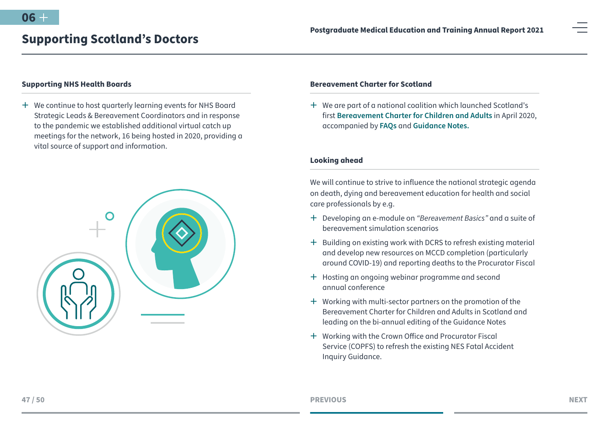#### **Supporting NHS Health Boards**

<sup>+</sup> We continue to host quarterly learning events for NHS Board Strategic Leads & Bereavement Coordinators and in response to the pandemic we established additional virtual catch up meetings for the network, 16 being hosted in 2020, providing a vital source of support and information.



#### **Bereavement Charter for Scotland**

 $+$  We are part of a national coalition which launched Scotland's first **[Bereavement Charter for Children and Adults](https://scottishcare.org/wp-content/uploads/2020/07/Bereavement-Charter-without-logos.pdf)** in April 2020, accompanied by **[FAQs](https://scottishcare.org/wp-content/uploads/2020/04/FAQs-1.pdf)** and **[Guidance Notes.](https://scottishcare.org/wp-content/uploads/2021/01/NESD1377-Bereavement-Charter-Guidance-Notes-Nov-2020.pdf)**

#### **Looking ahead**

We will continue to strive to influence the national strategic agenda on death, dying and bereavement education for health and social care professionals by e.g.

- ª Developing an e-module on *"Bereavement Basics"* and a suite of bereavement simulation scenarios
- $+$  Building on existing work with DCRS to refresh existing material and develop new resources on MCCD completion (particularly around COVID-19) and reporting deaths to the Procurator Fiscal
- $+$  Hosting an ongoing webinar programme and second annual conference
- $+$  Working with multi-sector partners on the promotion of the Bereavement Charter for Children and Adults in Scotland and leading on the bi-annual editing of the Guidance Notes
- $+$  Working with the Crown Office and Procurator Fiscal Service (COPFS) to refresh the existing NES Fatal Accident Inquiry Guidance.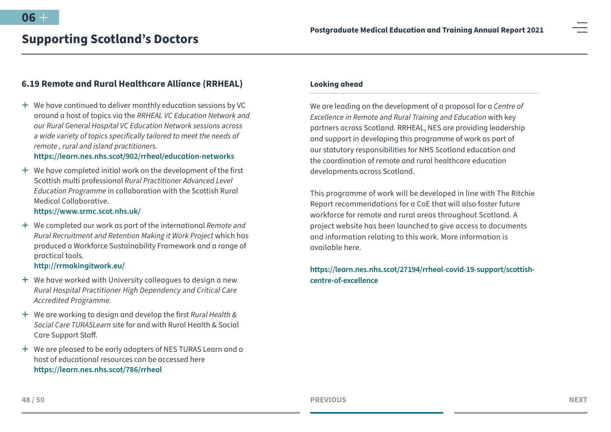# <span id="page-47-0"></span>**6.19 Remote and Rural Healthcare Alliance (RRHEAL)**

 $+$  We have continued to deliver monthly education sessions by VC around a host of topics via the *RRHEAL VC Education Network and our Rural General Hospital VC Education Network sessions across a wide variety of topics specifically tailored to meet the needs of remote , rural and island practitioners.*

### **<https://learn.nes.nhs.scot/902/rrheal/education-networks>**

 $+$  We have completed initial work on the development of the first Scottish multi professional *Rural Practitioner Advanced Level Education Programme* in collaboration with the Scottish Rural Medical Collaborative.

### **<https://www.srmc.scot.nhs.uk/>**

ª We completed our work as part of the international *Remote and Rural Recruitment and Retention Making it Work Project* which has produced a Workforce Sustainability Framework and a range of practical tools.

#### **<http://rrmakingitwork.eu/>**

- $+$  We have worked with University colleagues to design a new *Rural Hospital Practitioner High Dependency and Critical Care Accredited Programme.*
- ª We are working to design and develop the first *Rural Health & Social Care TURASLearn* site for and with Rural Health & Social Care Support Staff.
- <sup>+</sup> We are pleased to be early adopters of NES TURAS Learn and a host of educational resources can be accessed here **<https://learn.nes.nhs.scot/786/rrheal>**

#### **Looking ahead**

We are leading on the development of a proposal for a *Centre of Excellence in Remote and Rural Training and Education* with key partners across Scotland. RRHEAL, NES are providing leadership and support in developing this programme of work as part of our statutory responsibilities for NHS Scotland education and the coordination of remote and rural healthcare education developments across Scotland.

This programme of work will be developed in line with The Ritchie Report recommendations for a CoE that will also foster future workforce for remote and rural areas throughout Scotland. A project website has been launched to give access to documents and information relating to this work. More information is available here.

### **[https://learn.nes.nhs.scot/27194/rrheal-covid-19-support/scottish](https://learn.nes.nhs.scot/27194/rrheal-covid-19-support/scottish-centre-of-excellence)[centre-of-excellence](https://learn.nes.nhs.scot/27194/rrheal-covid-19-support/scottish-centre-of-excellence)**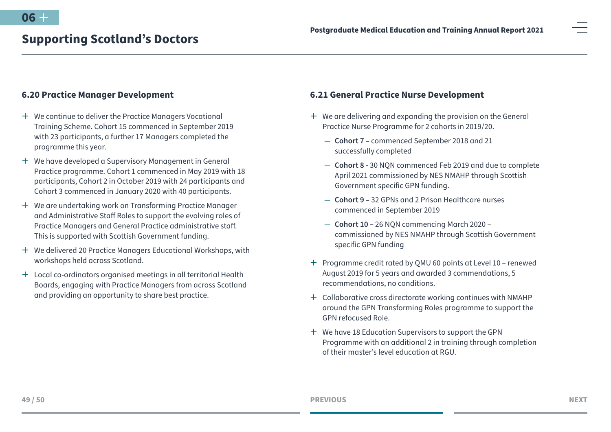## <span id="page-48-0"></span>**6.20 Practice Manager Development**

- $+$  We continue to deliver the Practice Managers Vocational Training Scheme. Cohort 15 commenced in September 2019 with 23 participants, a further 17 Managers completed the programme this year.
- $+$  We have developed a Supervisory Management in General Practice programme. Cohort 1 commenced in May 2019 with 18 participants, Cohort 2 in October 2019 with 24 participants and Cohort 3 commenced in January 2020 with 40 participants.
- <sup>+</sup> We are undertaking work on Transforming Practice Manager and Administrative Staff Roles to support the evolving roles of Practice Managers and General Practice administrative staff. This is supported with Scottish Government funding.
- <sup>+</sup> We delivered 20 Practice Managers Educational Workshops, with workshops held across Scotland.
- $+$  Local co-ordinators organised meetings in all territorial Health Boards, engaging with Practice Managers from across Scotland and providing an opportunity to share best practice.

### **6.21 General Practice Nurse Development**

- $+$  We are delivering and expanding the provision on the General Practice Nurse Programme for 2 cohorts in 2019/20.
	- **Cohort 7 –** commenced September 2018 and 21 successfully completed
	- **Cohort 8 -** 30 NQN commenced Feb 2019 and due to complete April 2021 commissioned by NES NMAHP through Scottish Government specific GPN funding.
	- **Cohort 9 –** 32 GPNs and 2 Prison Healthcare nurses commenced in September 2019
	- **Cohort 10 –** 26 NQN commencing March 2020 commissioned by NES NMAHP through Scottish Government specific GPN funding
- ª Programme credit rated by QMU 60 points at Level 10 renewed August 2019 for 5 years and awarded 3 commendations, 5 recommendations, no conditions.
- $+$  Collaborative cross directorate working continues with NMAHP around the GPN Transforming Roles programme to support the GPN refocused Role.
- $+$  We have 18 Education Supervisors to support the GPN Programme with an additional 2 in training through completion of their master's level education at RGU.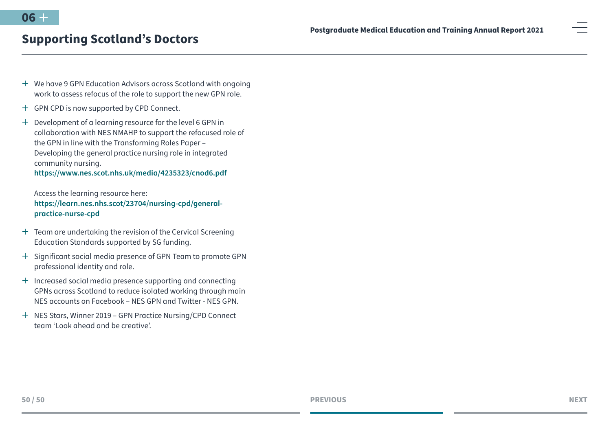- <sup>+</sup> We have 9 GPN Education Advisors across Scotland with ongoing work to assess refocus of the role to support the new GPN role.
- <sup>+</sup> GPN CPD is now supported by CPD Connect.

 $+$  Development of a learning resource for the level 6 GPN in collaboration with NES NMAHP to support the refocused role of the GPN in line with the Transforming Roles Paper – Developing the general practice nursing role in integrated community nursing. **<https://www.nes.scot.nhs.uk/media/4235323/cnod6.pdf>**

Access the learning resource here: **[https://learn.nes.nhs.scot/23704/nursing-cpd/general](https://learn.nes.nhs.scot/23704/nursing-cpd/general-practice-nurse-cpd)[practice-nurse-cpd](https://learn.nes.nhs.scot/23704/nursing-cpd/general-practice-nurse-cpd)**

- + Team are undertaking the revision of the Cervical Screening Education Standards supported by SG funding.
- <sup>+</sup> Significant social media presence of GPN Team to promote GPN professional identity and role.
- $+$  Increased social media presence supporting and connecting GPNs across Scotland to reduce isolated working through main NES accounts on Facebook – NES GPN and Twitter - NES GPN.
- <sup>+</sup> NES Stars, Winner 2019 GPN Practice Nursing/CPD Connect team 'Look ahead and be creative'.